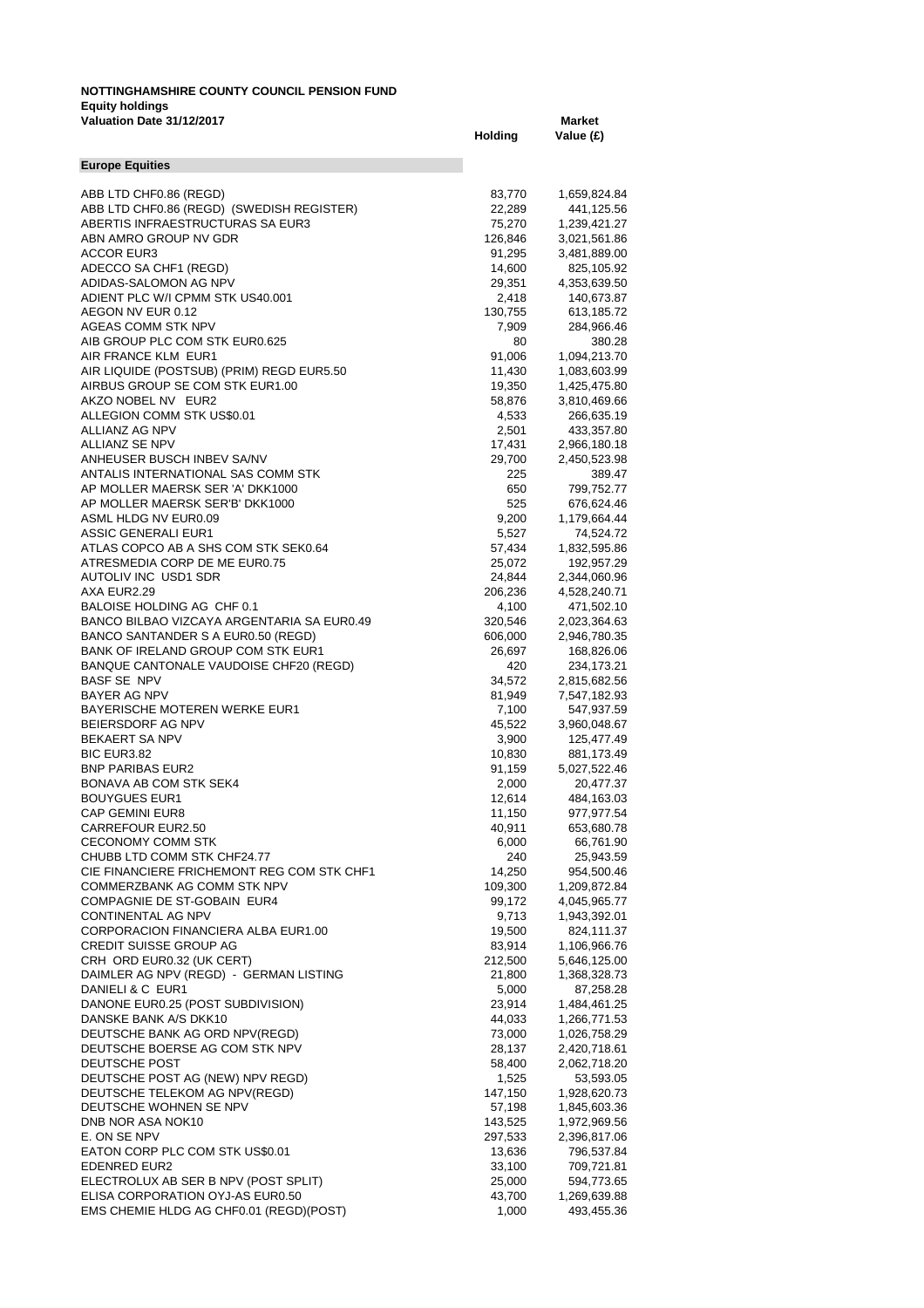## **NOTTINGHAMSHIRE COUNTY COUNCIL PENSION FUND Equity holdings Valuation Date 31/12/2017 Market**

|                                                                           | Holding          | Value (£)                  |
|---------------------------------------------------------------------------|------------------|----------------------------|
| <b>Europe Equities</b>                                                    |                  |                            |
| ABB LTD CHF0.86 (REGD)                                                    | 83,770           | 1,659,824.84               |
| ABB LTD CHF0.86 (REGD) (SWEDISH REGISTER)                                 | 22,289           | 441,125.56                 |
| ABERTIS INFRAESTRUCTURAS SA EUR3                                          | 75,270           | 1,239,421.27               |
| ABN AMRO GROUP NV GDR                                                     | 126,846          | 3,021,561.86               |
| ACCOR EUR3                                                                | 91,295           | 3,481,889.00               |
| ADECCO SA CHF1 (REGD)                                                     | 14,600           | 825,105.92                 |
| ADIDAS-SALOMON AG NPV                                                     | 29,351           | 4,353,639.50               |
| ADIENT PLC W/I CPMM STK US40.001                                          | 2,418            | 140,673.87                 |
| AEGON NV EUR 0.12<br>AGEAS COMM STK NPV                                   | 130,755<br>7,909 | 613,185.72                 |
| AIB GROUP PLC COM STK EUR0.625                                            | 80               | 284,966.46<br>380.28       |
| AIR FRANCE KLM EUR1                                                       | 91,006           | 1,094,213.70               |
| AIR LIQUIDE (POSTSUB) (PRIM) REGD EUR5.50                                 | 11,430           | 1,083,603.99               |
| AIRBUS GROUP SE COM STK EUR1.00                                           | 19,350           | 1,425,475.80               |
| AKZO NOBEL NV EUR2                                                        | 58,876           | 3,810,469.66               |
| ALLEGION COMM STK US\$0.01                                                | 4,533            | 266,635.19                 |
| ALLIANZ AG NPV                                                            | 2,501            | 433,357.80                 |
| ALLIANZ SE NPV                                                            | 17,431           | 2,966,180.18               |
| ANHEUSER BUSCH INBEV SA/NV                                                | 29,700           | 2,450,523.98               |
| ANTALIS INTERNATIONAL SAS COMM STK                                        | 225              | 389.47                     |
| AP MOLLER MAERSK SER 'A' DKK1000<br>AP MOLLER MAERSK SER'B' DKK1000       | 650<br>525       | 799,752.77                 |
| ASML HLDG NV EUR0.09                                                      | 9,200            | 676,624.46<br>1,179,664.44 |
| <b>ASSIC GENERALI EUR1</b>                                                | 5,527            | 74,524.72                  |
| ATLAS COPCO AB A SHS COM STK SEK0.64                                      | 57,434           | 1,832,595.86               |
| ATRESMEDIA CORP DE ME EUR0.75                                             | 25,072           | 192,957.29                 |
| AUTOLIV INC USD1 SDR                                                      | 24,844           | 2,344,060.96               |
| AXA EUR2.29                                                               | 206,236          | 4,528,240.71               |
| BALOISE HOLDING AG CHF 0.1                                                | 4,100            | 471,502.10                 |
| BANCO BILBAO VIZCAYA ARGENTARIA SA EUR0.49                                | 320,546          | 2,023,364.63               |
| BANCO SANTANDER S A EUR0.50 (REGD)                                        | 606,000          | 2,946,780.35               |
| BANK OF IRELAND GROUP COM STK EUR1                                        | 26,697           | 168,826.06                 |
| BANQUE CANTONALE VAUDOISE CHF20 (REGD)                                    | 420              | 234,173.21                 |
| BASF SE NPV<br>BAYER AG NPV                                               | 34,572           | 2,815,682.56               |
| BAYERISCHE MOTEREN WERKE EUR1                                             | 81,949<br>7,100  | 7,547,182.93<br>547,937.59 |
| BEIERSDORF AG NPV                                                         | 45,522           | 3,960,048.67               |
| BEKAERT SA NPV                                                            | 3,900            | 125,477.49                 |
| BIC EUR3.82                                                               | 10,830           | 881,173.49                 |
| <b>BNP PARIBAS EUR2</b>                                                   | 91,159           | 5,027,522.46               |
| BONAVA AB COM STK SEK4                                                    | 2,000            | 20,477.37                  |
| <b>BOUYGUES EUR1</b>                                                      | 12,614           | 484,163.03                 |
| CAP GEMINI EUR8                                                           | 11,150           | 977,977.54                 |
| CARREFOUR EUR2.50                                                         | 40,911           | 653,680.78                 |
| <b>CECONOMY COMM STK</b>                                                  | 6,000            | 66,761.90                  |
| CHUBB LTD COMM STK CHF24.77<br>CIE FINANCIERE FRICHEMONT REG COM STK CHF1 | 240<br>14,250    | 25,943.59                  |
| COMMERZBANK AG COMM STK NPV                                               | 109,300          | 954,500.46<br>1,209,872.84 |
| COMPAGNIE DE ST-GOBAIN EUR4                                               | 99,172           | 4,045,965.77               |
| CONTINENTAL AG NPV                                                        | 9,713            | 1,943,392.01               |
| CORPORACION FINANCIERA ALBA EUR1.00                                       | 19,500           | 824,111.37                 |
| <b>CREDIT SUISSE GROUP AG</b>                                             | 83,914           | 1,106,966.76               |
| CRH ORD EUR0.32 (UK CERT)                                                 | 212,500          | 5,646,125.00               |
| DAIMLER AG NPV (REGD) - GERMAN LISTING                                    | 21,800           | 1,368,328.73               |
| DANIELI & C EUR1                                                          | 5,000            | 87,258.28                  |
| DANONE EUR0.25 (POST SUBDIVISION)                                         | 23,914           | 1,484,461.25               |
| DANSKE BANK A/S DKK10                                                     | 44,033           | 1,266,771.53               |
| DEUTSCHE BANK AG ORD NPV(REGD)                                            | 73,000           | 1,026,758.29               |
| DEUTSCHE BOERSE AG COM STK NPV                                            | 28,137           | 2,420,718.61               |
| DEUTSCHE POST<br>DEUTSCHE POST AG (NEW) NPV REGD)                         | 58,400           | 2,062,718.20               |
| DEUTSCHE TELEKOM AG NPV(REGD)                                             | 1,525<br>147,150 | 53,593.05<br>1,928,620.73  |
| DEUTSCHE WOHNEN SE NPV                                                    | 57,198           | 1,845,603.36               |
| DNB NOR ASA NOK10                                                         | 143,525          | 1,972,969.56               |
| E. ON SE NPV                                                              | 297,533          | 2,396,817.06               |
| EATON CORP PLC COM STK US\$0.01                                           | 13,636           | 796,537.84                 |
| EDENRED EUR2                                                              | 33,100           | 709,721.81                 |
| ELECTROLUX AB SER B NPV (POST SPLIT)                                      | 25,000           | 594,773.65                 |
| ELISA CORPORATION OYJ-AS EUR0.50                                          | 43,700           | 1,269,639.88               |
| EMS CHEMIE HLDG AG CHF0.01 (REGD)(POST)                                   | 1,000            | 493,455.36                 |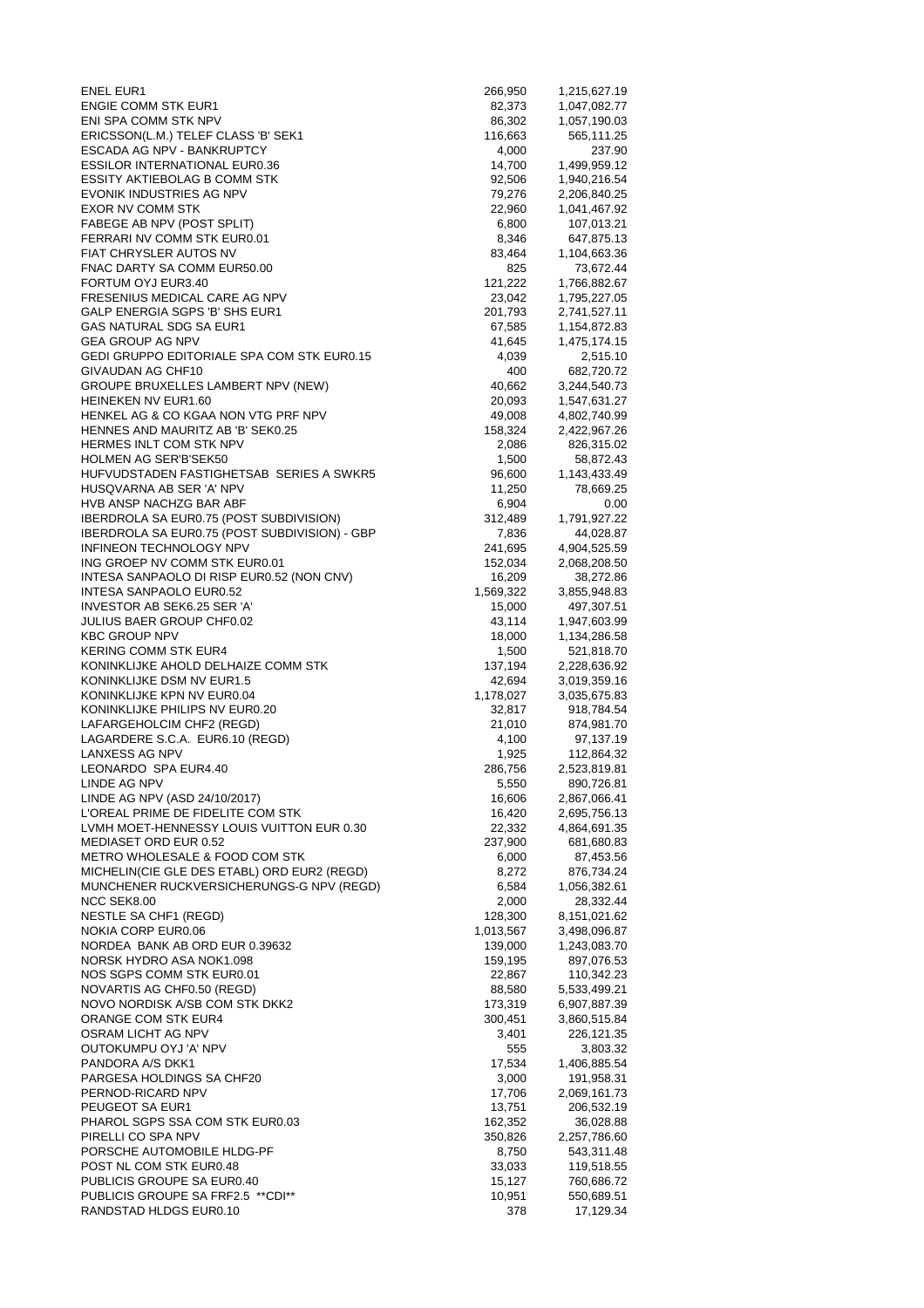| <b>ENEL EUR1</b>                                                                        | 266,950           | 1,215,627.19                 |
|-----------------------------------------------------------------------------------------|-------------------|------------------------------|
| <b>ENGIE COMM STK EUR1</b>                                                              | 82,373            | 1,047,082.77                 |
| ENI SPA COMM STK NPV<br>ERICSSON(L.M.) TELEF CLASS 'B' SEK1                             | 86,302<br>116,663 | 1,057,190.03<br>565,111.25   |
| ESCADA AG NPV - BANKRUPTCY                                                              | 4,000             | 237.90                       |
| <b>ESSILOR INTERNATIONAL EUR0.36</b>                                                    | 14,700            | 1,499,959.12                 |
| ESSITY AKTIEBOLAG B COMM STK                                                            | 92,506            | 1,940,216.54                 |
| EVONIK INDUSTRIES AG NPV                                                                | 79,276            | 2,206,840.25                 |
| EXOR NV COMM STK                                                                        | 22,960            | 1,041,467.92                 |
| FABEGE AB NPV (POST SPLIT)                                                              | 6,800             | 107,013.21                   |
| FERRARI NV COMM STK EUR0.01                                                             | 8,346             | 647,875.13                   |
| FIAT CHRYSLER AUTOS NV                                                                  | 83,464            | 1,104,663.36                 |
| FNAC DARTY SA COMM EUR50.00<br>FORTUM OYJ EUR3.40                                       | 825               | 73,672.44                    |
| FRESENIUS MEDICAL CARE AG NPV                                                           | 121,222<br>23,042 | 1,766,882.67<br>1,795,227.05 |
| GALP ENERGIA SGPS 'B' SHS EUR1                                                          | 201,793           | 2,741,527.11                 |
| GAS NATURAL SDG SA EUR1                                                                 | 67,585            | 1,154,872.83                 |
| <b>GEA GROUP AG NPV</b>                                                                 | 41,645            | 1,475,174.15                 |
| GEDI GRUPPO EDITORIALE SPA COM STK EUR0.15                                              | 4,039             | 2,515.10                     |
| GIVAUDAN AG CHF10                                                                       | 400               | 682,720.72                   |
| GROUPE BRUXELLES LAMBERT NPV (NEW)                                                      | 40,662            | 3,244,540.73                 |
| HEINEKEN NV EUR1.60                                                                     | 20,093            | 1,547,631.27                 |
| HENKEL AG & CO KGAA NON VTG PRF NPV                                                     | 49,008            | 4,802,740.99                 |
| HENNES AND MAURITZ AB 'B' SEK0.25<br>HERMES INLT COM STK NPV                            | 158,324<br>2,086  | 2,422,967.26<br>826,315.02   |
| HOLMEN AG SER'B'SEK50                                                                   | 1,500             | 58,872.43                    |
| HUFVUDSTADEN FASTIGHETSAB SERIES A SWKR5                                                | 96,600            | 1,143,433.49                 |
| HUSQVARNA AB SER 'A' NPV                                                                | 11,250            | 78,669.25                    |
| HVB ANSP NACHZG BAR ABF                                                                 | 6,904             | 0.00                         |
| <b>IBERDROLA SA EUR0.75 (POST SUBDIVISION)</b>                                          | 312,489           | 1,791,927.22                 |
| IBERDROLA SA EUR0.75 (POST SUBDIVISION) - GBP                                           | 7,836             | 44,028.87                    |
| INFINEON TECHNOLOGY NPV                                                                 | 241,695           | 4,904,525.59                 |
| ING GROEP NV COMM STK EUR0.01                                                           | 152,034           | 2,068,208.50                 |
| INTESA SANPAOLO DI RISP EUR0.52 (NON CNV)                                               | 16,209            | 38,272.86                    |
| INTESA SANPAOLO EUR0.52                                                                 | 1,569,322         | 3,855,948.83                 |
| INVESTOR AB SEK6.25 SER 'A'<br><b>JULIUS BAER GROUP CHF0.02</b>                         | 15,000<br>43,114  | 497,307.51<br>1,947,603.99   |
| <b>KBC GROUP NPV</b>                                                                    | 18,000            | 1,134,286.58                 |
| <b>KERING COMM STK EUR4</b>                                                             | 1,500             | 521,818.70                   |
| KONINKLIJKE AHOLD DELHAIZE COMM STK                                                     | 137,194           | 2,228,636.92                 |
| KONINKLIJKE DSM NV EUR1.5                                                               | 42,694            | 3,019,359.16                 |
| KONINKLIJKE KPN NV EUR0.04                                                              | 1,178,027         | 3,035,675.83                 |
| KONINKLIJKE PHILIPS NV EUR0.20                                                          | 32,817            | 918,784.54                   |
| LAFARGEHOLCIM CHF2 (REGD)<br>LAGARDERE S.C.A. EUR6.10 (REGD)                            | 21,010            | 874,981.70                   |
| LANXESS AG NPV                                                                          | 4,100<br>1,925    | 97,137.19<br>112,864.32      |
| LEONARDO SPA EUR4.40                                                                    | 286,756           | 2,523,819.81                 |
| LINDE AG NPV                                                                            | 5,550             | 890,726.81                   |
| LINDE AG NPV (ASD 24/10/2017)                                                           | 16,606            | 2,867,066.41                 |
| L'OREAL PRIME DE FIDELITE COM STK                                                       | 16,420            | 2,695,756.13                 |
| LVMH MOET-HENNESSY LOUIS VUITTON EUR 0.30                                               | 22,332            | 4,864,691.35                 |
| MEDIASET ORD EUR 0.52                                                                   | 237,900           | 681,680.83                   |
| METRO WHOLESALE & FOOD COM STK                                                          | 6,000             | 87,453.56                    |
| MICHELIN(CIE GLE DES ETABL) ORD EUR2 (REGD)<br>MUNCHENER RUCKVERSICHERUNGS-G NPV (REGD) | 8,272             | 876,734.24                   |
| NCC SEK8.00                                                                             | 6,584<br>2,000    | 1,056,382.61<br>28,332.44    |
| NESTLE SA CHF1 (REGD)                                                                   | 128,300           | 8,151,021.62                 |
| NOKIA CORP EUR0.06                                                                      | 1,013,567         | 3,498,096.87                 |
| NORDEA BANK AB ORD EUR 0.39632                                                          | 139,000           | 1,243,083.70                 |
| NORSK HYDRO ASA NOK1.098                                                                | 159,195           | 897,076.53                   |
| NOS SGPS COMM STK EUR0.01                                                               | 22,867            | 110,342.23                   |
| NOVARTIS AG CHF0.50 (REGD)                                                              | 88,580            | 5,533,499.21                 |
| NOVO NORDISK A/SB COM STK DKK2                                                          | 173,319           | 6,907,887.39                 |
| ORANGE COM STK EUR4                                                                     | 300,451           | 3,860,515.84                 |
| OSRAM LICHT AG NPV<br>OUTOKUMPU OYJ 'A' NPV                                             | 3,401<br>555      | 226,121.35<br>3,803.32       |
| PANDORA A/S DKK1                                                                        | 17,534            | 1,406,885.54                 |
| PARGESA HOLDINGS SA CHF20                                                               | 3,000             | 191,958.31                   |
| PERNOD-RICARD NPV                                                                       | 17,706            | 2,069,161.73                 |
| PEUGEOT SA EUR1                                                                         | 13,751            | 206,532.19                   |
| PHAROL SGPS SSA COM STK EUR0.03                                                         | 162,352           | 36,028.88                    |
| PIRELLI CO SPA NPV                                                                      | 350,826           | 2,257,786.60                 |
| PORSCHE AUTOMOBILE HLDG-PF                                                              | 8,750             | 543,311.48                   |
| POST NL COM STK EUR0.48                                                                 | 33,033            | 119,518.55                   |
| PUBLICIS GROUPE SA EUR0.40<br>PUBLICIS GROUPE SA FRF2.5 ** CDI**                        | 15,127<br>10,951  | 760,686.72<br>550,689.51     |
| RANDSTAD HLDGS EUR0.10                                                                  | 378               | 17,129.34                    |
|                                                                                         |                   |                              |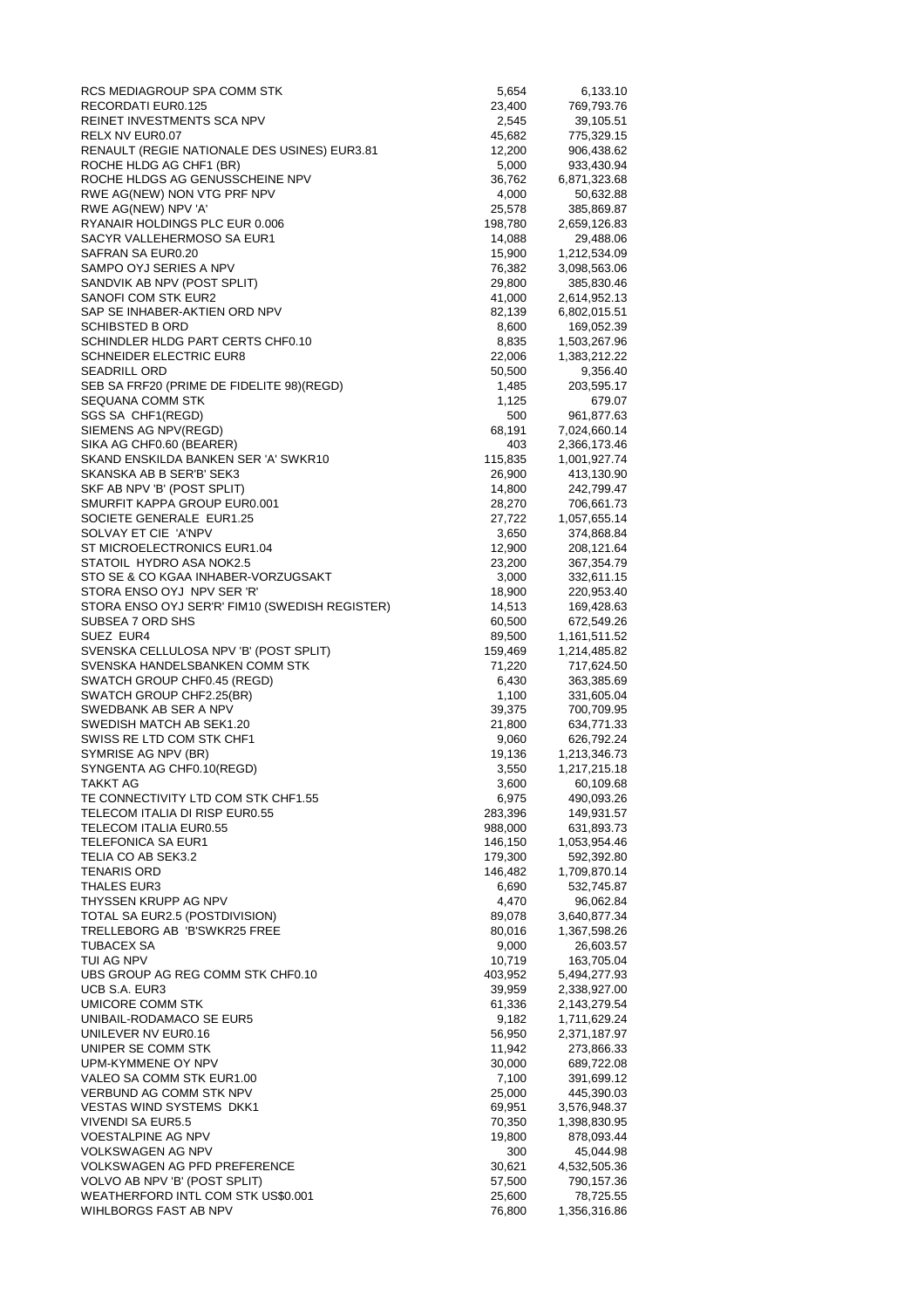| RCS MEDIAGROUP SPA COMM STK                                             | 5,654             | 6,133.10                   |
|-------------------------------------------------------------------------|-------------------|----------------------------|
| RECORDATI EUR0.125                                                      | 23,400            | 769,793.76                 |
| REINET INVESTMENTS SCA NPV                                              | 2,545             | 39,105.51                  |
| RELX NV EUR0.07                                                         | 45,682            | 775,329.15                 |
| RENAULT (REGIE NATIONALE DES USINES) EUR3.81<br>ROCHE HLDG AG CHF1 (BR) | 12,200<br>5,000   | 906,438.62<br>933,430.94   |
| ROCHE HLDGS AG GENUSSCHEINE NPV                                         | 36,762            | 6,871,323.68               |
| RWE AG(NEW) NON VTG PRF NPV                                             | 4,000             | 50,632.88                  |
| RWE AG(NEW) NPV 'A'                                                     | 25,578            | 385,869.87                 |
| RYANAIR HOLDINGS PLC EUR 0.006                                          | 198,780           | 2,659,126.83               |
| SACYR VALLEHERMOSO SA EUR1                                              | 14,088            | 29,488.06                  |
| SAFRAN SA EUR0.20                                                       | 15,900            | 1,212,534.09               |
| SAMPO OYJ SERIES A NPV                                                  | 76,382            | 3,098,563.06               |
| SANDVIK AB NPV (POST SPLIT)                                             | 29,800            | 385,830.46                 |
| SANOFI COM STK EUR2                                                     | 41,000            | 2,614,952.13               |
| SAP SE INHABER-AKTIEN ORD NPV                                           | 82,139            | 6,802,015.51               |
| SCHIBSTED B ORD                                                         | 8,600             | 169,052.39                 |
| SCHINDLER HLDG PART CERTS CHF0.10                                       | 8,835             | 1,503,267.96               |
| <b>SCHNEIDER ELECTRIC EUR8</b><br><b>SEADRILL ORD</b>                   | 22,006            | 1,383,212.22               |
| SEB SA FRF20 (PRIME DE FIDELITE 98)(REGD)                               | 50,500<br>1,485   | 9,356.40<br>203,595.17     |
| SEQUANA COMM STK                                                        | 1,125             | 679.07                     |
| SGS SA CHF1(REGD)                                                       | 500               | 961,877.63                 |
| SIEMENS AG NPV(REGD)                                                    | 68,191            | 7,024,660.14               |
| SIKA AG CHF0.60 (BEARER)                                                | 403               | 2,366,173.46               |
| SKAND ENSKILDA BANKEN SER 'A' SWKR10                                    | 115,835           | 1,001,927.74               |
| SKANSKA AB B SER'B' SEK3                                                | 26,900            | 413,130.90                 |
| SKF AB NPV 'B' (POST SPLIT)                                             | 14,800            | 242,799.47                 |
| SMURFIT KAPPA GROUP EUR0.001                                            | 28,270            | 706,661.73                 |
| SOCIETE GENERALE EUR1.25                                                | 27,722            | 1,057,655.14               |
| SOLVAY ET CIE 'A'NPV                                                    | 3,650             | 374,868.84                 |
| ST MICROELECTRONICS EUR1.04                                             | 12,900            | 208,121.64                 |
| STATOIL HYDRO ASA NOK2.5                                                | 23,200            | 367,354.79                 |
| STO SE & CO KGAA INHABER-VORZUGSAKT                                     | 3,000             | 332,611.15                 |
| STORA ENSO OYJ NPV SER 'R'                                              | 18,900            | 220,953.40                 |
| STORA ENSO OYJ SER'R' FIM10 (SWEDISH REGISTER)                          | 14,513            | 169,428.63                 |
| SUBSEA 7 ORD SHS                                                        | 60,500            | 672,549.26                 |
| SUEZ EUR4<br>SVENSKA CELLULOSA NPV 'B' (POST SPLIT)                     | 89,500            | 1,161,511.52               |
| SVENSKA HANDELSBANKEN COMM STK                                          | 159,469<br>71,220 | 1,214,485.82<br>717,624.50 |
| SWATCH GROUP CHF0.45 (REGD)                                             | 6,430             | 363,385.69                 |
| SWATCH GROUP CHF2.25(BR)                                                | 1,100             | 331,605.04                 |
| SWEDBANK AB SER A NPV                                                   | 39,375            | 700,709.95                 |
| SWEDISH MATCH AB SEK1.20                                                | 21,800            | 634,771.33                 |
| SWISS RE LTD COM STK CHF1                                               | 9,060             | 626,792.24                 |
| SYMRISE AG NPV (BR)                                                     | 19,136            | 1,213,346.73               |
| SYNGENTA AG CHF0.10(REGD)                                               | 3,550             | 1,217,215.18               |
| TAKKT AG                                                                | 3,600             | 60,109.68                  |
| TE CONNECTIVITY LTD COM STK CHF1.55                                     | 6,975             | 490,093.26                 |
| TELECOM ITALIA DI RISP EUR0.55                                          | 283,396           | 149,931.57                 |
| TELECOM ITALIA EUR0.55                                                  | 988,000           | 631,893.73                 |
| <b>TELEFONICA SA EUR1</b>                                               | 146,150           | 1,053,954.46               |
| TELIA CO AB SEK3.2                                                      | 179,300           | 592,392.80                 |
| <b>TENARIS ORD</b><br><b>THALES EUR3</b>                                | 146,482<br>6,690  | 1,709,870.14<br>532,745.87 |
| THYSSEN KRUPP AG NPV                                                    | 4,470             | 96,062.84                  |
| TOTAL SA EUR2.5 (POSTDIVISION)                                          | 89,078            | 3,640,877.34               |
| TRELLEBORG AB 'B'SWKR25 FREE                                            | 80,016            | 1,367,598.26               |
| TUBACEX SA                                                              | 9,000             | 26,603.57                  |
| TUI AG NPV                                                              | 10,719            | 163,705.04                 |
| UBS GROUP AG REG COMM STK CHF0.10                                       | 403,952           | 5,494,277.93               |
| UCB S.A. EUR3                                                           | 39,959            | 2,338,927.00               |
| UMICORE COMM STK                                                        | 61,336            | 2,143,279.54               |
| UNIBAIL-RODAMACO SE EUR5                                                | 9,182             | 1,711,629.24               |
| UNILEVER NV EUR0.16                                                     | 56,950            | 2,371,187.97               |
| UNIPER SE COMM STK                                                      | 11,942            | 273,866.33                 |
| UPM-KYMMENE OY NPV                                                      | 30,000            | 689,722.08                 |
| VALEO SA COMM STK EUR1.00                                               | 7,100             | 391,699.12                 |
| VERBUND AG COMM STK NPV                                                 | 25,000            | 445,390.03                 |
| <b>VESTAS WIND SYSTEMS DKK1</b>                                         | 69,951            | 3,576,948.37               |
| VIVENDI SA EUR5.5                                                       | 70,350            | 1,398,830.95               |
| <b>VOESTALPINE AG NPV</b><br>VOLKSWAGEN AG NPV                          | 19,800            | 878,093.44                 |
| <b>VOLKSWAGEN AG PFD PREFERENCE</b>                                     | 300<br>30,621     | 45,044.98<br>4,532,505.36  |
| VOLVO AB NPV 'B' (POST SPLIT)                                           | 57,500            | 790,157.36                 |
| WEATHERFORD INTL COM STK US\$0.001                                      | 25,600            | 78,725.55                  |
| WIHLBORGS FAST AB NPV                                                   | 76,800            | 1,356,316.86               |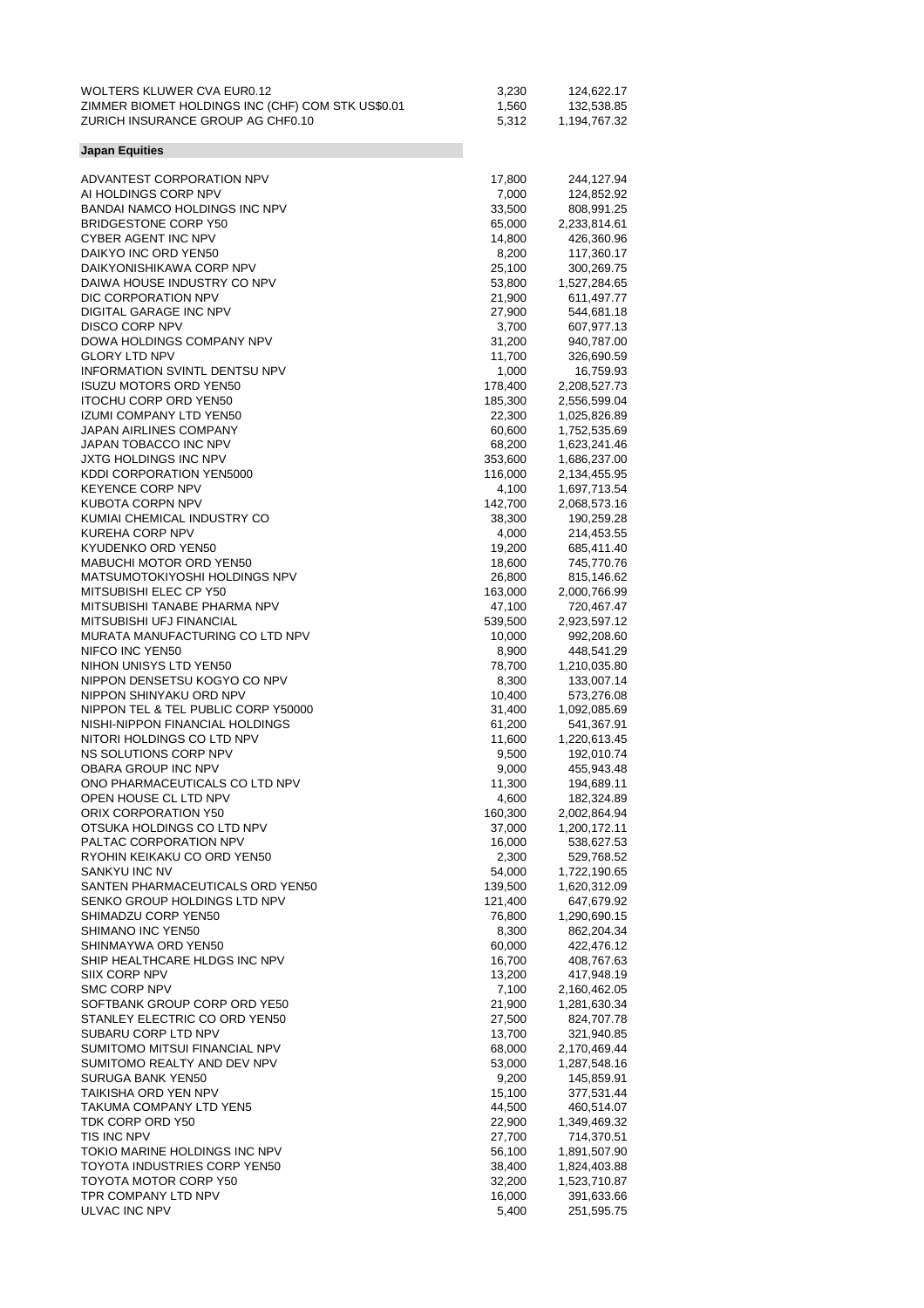| ZIMMER BIOMET HOLDINGS INC (CHF) COM STK US\$0.01<br>1,560<br>132,538.85<br>ZURICH INSURANCE GROUP AG CHF0.10<br>5,312<br>1,194,767.32<br><b>Japan Equities</b><br>ADVANTEST CORPORATION NPV<br>17,800<br>244,127.94<br>AI HOLDINGS CORP NPV<br>7,000<br>124,852.92<br>BANDAI NAMCO HOLDINGS INC NPV<br>33,500<br>808,991.25<br><b>BRIDGESTONE CORP Y50</b><br>65,000<br>2,233,814.61<br>CYBER AGENT INC NPV<br>14,800<br>426,360.96<br>DAIKYO INC ORD YEN50<br>8,200<br>117,360.17<br>DAIKYONISHIKAWA CORP NPV<br>25,100<br>300,269.75<br>DAIWA HOUSE INDUSTRY CO NPV<br>53,800<br>1,527,284.65<br>DIC CORPORATION NPV<br>21,900<br>611,497.77<br>DIGITAL GARAGE INC NPV<br>27,900<br>544,681.18<br><b>DISCO CORP NPV</b><br>3,700<br>607,977.13<br>DOWA HOLDINGS COMPANY NPV<br>31,200<br>940,787.00<br><b>GLORY LTD NPV</b><br>11,700<br>326,690.59<br><b>INFORMATION SVINTL DENTSU NPV</b><br>1,000<br>16,759.93<br><b>ISUZU MOTORS ORD YEN50</b><br>178,400<br>2,208,527.73<br><b>ITOCHU CORP ORD YEN50</b><br>185,300<br>2,556,599.04<br><b>IZUMI COMPANY LTD YEN50</b><br>22,300<br>1,025,826.89<br>JAPAN AIRLINES COMPANY<br>60,600<br>1,752,535.69<br>JAPAN TOBACCO INC NPV<br>68,200<br>1,623,241.46<br>JXTG HOLDINGS INC NPV<br>353,600<br>1,686,237.00<br>KDDI CORPORATION YEN5000<br>116,000<br>2,134,455.95<br><b>KEYENCE CORP NPV</b><br>4,100<br>1,697,713.54<br>KUBOTA CORPN NPV<br>142,700<br>2,068,573.16<br>KUMIAI CHEMICAL INDUSTRY CO<br>38,300<br>190,259.28<br>KUREHA CORP NPV<br>4,000<br>214,453.55<br>KYUDENKO ORD YEN50<br>19,200<br>685,411.40<br>MABUCHI MOTOR ORD YEN50<br>18,600<br>745,770.76<br>MATSUMOTOKIYOSHI HOLDINGS NPV<br>26,800<br>815,146.62<br>MITSUBISHI ELEC CP Y50<br>163,000<br>2,000,766.99<br>MITSUBISHI TANABE PHARMA NPV<br>47,100<br>720,467.47<br>MITSUBISHI UFJ FINANCIAL<br>539,500<br>2,923,597.12<br>MURATA MANUFACTURING CO LTD NPV<br>10,000<br>992,208.60<br>NIFCO INC YEN50<br>8,900<br>448,541.29<br>NIHON UNISYS LTD YEN50<br>78,700<br>1,210,035.80<br>NIPPON DENSETSU KOGYO CO NPV<br>8,300<br>133,007.14<br>NIPPON SHINYAKU ORD NPV<br>10,400<br>573,276.08<br>NIPPON TEL & TEL PUBLIC CORP Y50000<br>31,400<br>1,092,085.69<br>NISHI-NIPPON FINANCIAL HOLDINGS<br>61,200<br>541,367.91<br>NITORI HOLDINGS CO LTD NPV<br>11,600<br>1,220,613.45<br>NS SOLUTIONS CORP NPV<br>9,500<br>192,010.74<br>OBARA GROUP INC NPV<br>9,000<br>455,943.48<br>ONO PHARMACEUTICALS CO LTD NPV<br>11,300<br>194,689.11<br>OPEN HOUSE CL LTD NPV<br>4,600<br>182,324.89<br>ORIX CORPORATION Y50<br>160,300<br>2,002,864.94<br>OTSUKA HOLDINGS CO LTD NPV<br>37,000<br>1,200,172.11<br>PALTAC CORPORATION NPV<br>16,000<br>538,627.53<br>RYOHIN KEIKAKU CO ORD YEN50<br>2,300<br>529,768.52<br>SANKYU INC NV<br>54,000<br>1,722,190.65<br>SANTEN PHARMACEUTICALS ORD YEN50<br>139,500<br>1,620,312.09<br>SENKO GROUP HOLDINGS LTD NPV<br>121,400<br>647,679.92<br>SHIMADZU CORP YEN50<br>76,800<br>1,290,690.15<br><b>SHIMANO INC YEN50</b><br>8,300<br>862,204.34<br>SHINMAYWA ORD YEN50<br>60,000<br>422,476.12<br>SHIP HEALTHCARE HLDGS INC NPV<br>16,700<br>408,767.63<br>SIIX CORP NPV<br>13,200<br>417,948.19<br>SMC CORP NPV<br>7,100<br>2,160,462.05<br>SOFTBANK GROUP CORP ORD YE50<br>21,900<br>1,281,630.34<br>STANLEY ELECTRIC CO ORD YEN50<br>27,500<br>824,707.78<br>SUBARU CORP LTD NPV<br>13,700<br>321,940.85<br>SUMITOMO MITSUI FINANCIAL NPV<br>68,000<br>2,170,469.44<br>SUMITOMO REALTY AND DEV NPV<br>53,000<br>1,287,548.16<br>SURUGA BANK YEN50<br>9,200<br>145,859.91<br>TAIKISHA ORD YEN NPV<br>15,100<br>377,531.44<br>TAKUMA COMPANY LTD YEN5<br>44,500<br>460,514.07<br>TDK CORP ORD Y50<br>22,900<br>1,349,469.32<br>TIS INC NPV<br>27,700<br>714,370.51<br>TOKIO MARINE HOLDINGS INC NPV<br>56,100<br>1,891,507.90<br>TOYOTA INDUSTRIES CORP YEN50<br>38,400<br>1,824,403.88<br>TOYOTA MOTOR CORP Y50<br>32,200<br>1,523,710.87<br>TPR COMPANY LTD NPV<br>16,000<br>391,633.66 | <b>WOLTERS KLUWER CVA EUR0.12</b> | 3,230 | 124,622.17 |
|-----------------------------------------------------------------------------------------------------------------------------------------------------------------------------------------------------------------------------------------------------------------------------------------------------------------------------------------------------------------------------------------------------------------------------------------------------------------------------------------------------------------------------------------------------------------------------------------------------------------------------------------------------------------------------------------------------------------------------------------------------------------------------------------------------------------------------------------------------------------------------------------------------------------------------------------------------------------------------------------------------------------------------------------------------------------------------------------------------------------------------------------------------------------------------------------------------------------------------------------------------------------------------------------------------------------------------------------------------------------------------------------------------------------------------------------------------------------------------------------------------------------------------------------------------------------------------------------------------------------------------------------------------------------------------------------------------------------------------------------------------------------------------------------------------------------------------------------------------------------------------------------------------------------------------------------------------------------------------------------------------------------------------------------------------------------------------------------------------------------------------------------------------------------------------------------------------------------------------------------------------------------------------------------------------------------------------------------------------------------------------------------------------------------------------------------------------------------------------------------------------------------------------------------------------------------------------------------------------------------------------------------------------------------------------------------------------------------------------------------------------------------------------------------------------------------------------------------------------------------------------------------------------------------------------------------------------------------------------------------------------------------------------------------------------------------------------------------------------------------------------------------------------------------------------------------------------------------------------------------------------------------------------------------------------------------------------------------------------------------------------------------------------------------------------------------------------------------------------------------------------------------------------------------------------------------------------------------------------------------------------------------------------------------------------------------------------------------------------------------------------------------------------------------------------------------------------------------------------------------------------------------------------------------------------------------------------------------|-----------------------------------|-------|------------|
|                                                                                                                                                                                                                                                                                                                                                                                                                                                                                                                                                                                                                                                                                                                                                                                                                                                                                                                                                                                                                                                                                                                                                                                                                                                                                                                                                                                                                                                                                                                                                                                                                                                                                                                                                                                                                                                                                                                                                                                                                                                                                                                                                                                                                                                                                                                                                                                                                                                                                                                                                                                                                                                                                                                                                                                                                                                                                                                                                                                                                                                                                                                                                                                                                                                                                                                                                                                                                                                                                                                                                                                                                                                                                                                                                                                                                                                                                                                                                                 |                                   |       |            |
|                                                                                                                                                                                                                                                                                                                                                                                                                                                                                                                                                                                                                                                                                                                                                                                                                                                                                                                                                                                                                                                                                                                                                                                                                                                                                                                                                                                                                                                                                                                                                                                                                                                                                                                                                                                                                                                                                                                                                                                                                                                                                                                                                                                                                                                                                                                                                                                                                                                                                                                                                                                                                                                                                                                                                                                                                                                                                                                                                                                                                                                                                                                                                                                                                                                                                                                                                                                                                                                                                                                                                                                                                                                                                                                                                                                                                                                                                                                                                                 |                                   |       |            |
|                                                                                                                                                                                                                                                                                                                                                                                                                                                                                                                                                                                                                                                                                                                                                                                                                                                                                                                                                                                                                                                                                                                                                                                                                                                                                                                                                                                                                                                                                                                                                                                                                                                                                                                                                                                                                                                                                                                                                                                                                                                                                                                                                                                                                                                                                                                                                                                                                                                                                                                                                                                                                                                                                                                                                                                                                                                                                                                                                                                                                                                                                                                                                                                                                                                                                                                                                                                                                                                                                                                                                                                                                                                                                                                                                                                                                                                                                                                                                                 |                                   |       |            |
|                                                                                                                                                                                                                                                                                                                                                                                                                                                                                                                                                                                                                                                                                                                                                                                                                                                                                                                                                                                                                                                                                                                                                                                                                                                                                                                                                                                                                                                                                                                                                                                                                                                                                                                                                                                                                                                                                                                                                                                                                                                                                                                                                                                                                                                                                                                                                                                                                                                                                                                                                                                                                                                                                                                                                                                                                                                                                                                                                                                                                                                                                                                                                                                                                                                                                                                                                                                                                                                                                                                                                                                                                                                                                                                                                                                                                                                                                                                                                                 |                                   |       |            |
|                                                                                                                                                                                                                                                                                                                                                                                                                                                                                                                                                                                                                                                                                                                                                                                                                                                                                                                                                                                                                                                                                                                                                                                                                                                                                                                                                                                                                                                                                                                                                                                                                                                                                                                                                                                                                                                                                                                                                                                                                                                                                                                                                                                                                                                                                                                                                                                                                                                                                                                                                                                                                                                                                                                                                                                                                                                                                                                                                                                                                                                                                                                                                                                                                                                                                                                                                                                                                                                                                                                                                                                                                                                                                                                                                                                                                                                                                                                                                                 |                                   |       |            |
|                                                                                                                                                                                                                                                                                                                                                                                                                                                                                                                                                                                                                                                                                                                                                                                                                                                                                                                                                                                                                                                                                                                                                                                                                                                                                                                                                                                                                                                                                                                                                                                                                                                                                                                                                                                                                                                                                                                                                                                                                                                                                                                                                                                                                                                                                                                                                                                                                                                                                                                                                                                                                                                                                                                                                                                                                                                                                                                                                                                                                                                                                                                                                                                                                                                                                                                                                                                                                                                                                                                                                                                                                                                                                                                                                                                                                                                                                                                                                                 |                                   |       |            |
|                                                                                                                                                                                                                                                                                                                                                                                                                                                                                                                                                                                                                                                                                                                                                                                                                                                                                                                                                                                                                                                                                                                                                                                                                                                                                                                                                                                                                                                                                                                                                                                                                                                                                                                                                                                                                                                                                                                                                                                                                                                                                                                                                                                                                                                                                                                                                                                                                                                                                                                                                                                                                                                                                                                                                                                                                                                                                                                                                                                                                                                                                                                                                                                                                                                                                                                                                                                                                                                                                                                                                                                                                                                                                                                                                                                                                                                                                                                                                                 |                                   |       |            |
|                                                                                                                                                                                                                                                                                                                                                                                                                                                                                                                                                                                                                                                                                                                                                                                                                                                                                                                                                                                                                                                                                                                                                                                                                                                                                                                                                                                                                                                                                                                                                                                                                                                                                                                                                                                                                                                                                                                                                                                                                                                                                                                                                                                                                                                                                                                                                                                                                                                                                                                                                                                                                                                                                                                                                                                                                                                                                                                                                                                                                                                                                                                                                                                                                                                                                                                                                                                                                                                                                                                                                                                                                                                                                                                                                                                                                                                                                                                                                                 |                                   |       |            |
|                                                                                                                                                                                                                                                                                                                                                                                                                                                                                                                                                                                                                                                                                                                                                                                                                                                                                                                                                                                                                                                                                                                                                                                                                                                                                                                                                                                                                                                                                                                                                                                                                                                                                                                                                                                                                                                                                                                                                                                                                                                                                                                                                                                                                                                                                                                                                                                                                                                                                                                                                                                                                                                                                                                                                                                                                                                                                                                                                                                                                                                                                                                                                                                                                                                                                                                                                                                                                                                                                                                                                                                                                                                                                                                                                                                                                                                                                                                                                                 |                                   |       |            |
|                                                                                                                                                                                                                                                                                                                                                                                                                                                                                                                                                                                                                                                                                                                                                                                                                                                                                                                                                                                                                                                                                                                                                                                                                                                                                                                                                                                                                                                                                                                                                                                                                                                                                                                                                                                                                                                                                                                                                                                                                                                                                                                                                                                                                                                                                                                                                                                                                                                                                                                                                                                                                                                                                                                                                                                                                                                                                                                                                                                                                                                                                                                                                                                                                                                                                                                                                                                                                                                                                                                                                                                                                                                                                                                                                                                                                                                                                                                                                                 |                                   |       |            |
|                                                                                                                                                                                                                                                                                                                                                                                                                                                                                                                                                                                                                                                                                                                                                                                                                                                                                                                                                                                                                                                                                                                                                                                                                                                                                                                                                                                                                                                                                                                                                                                                                                                                                                                                                                                                                                                                                                                                                                                                                                                                                                                                                                                                                                                                                                                                                                                                                                                                                                                                                                                                                                                                                                                                                                                                                                                                                                                                                                                                                                                                                                                                                                                                                                                                                                                                                                                                                                                                                                                                                                                                                                                                                                                                                                                                                                                                                                                                                                 |                                   |       |            |
|                                                                                                                                                                                                                                                                                                                                                                                                                                                                                                                                                                                                                                                                                                                                                                                                                                                                                                                                                                                                                                                                                                                                                                                                                                                                                                                                                                                                                                                                                                                                                                                                                                                                                                                                                                                                                                                                                                                                                                                                                                                                                                                                                                                                                                                                                                                                                                                                                                                                                                                                                                                                                                                                                                                                                                                                                                                                                                                                                                                                                                                                                                                                                                                                                                                                                                                                                                                                                                                                                                                                                                                                                                                                                                                                                                                                                                                                                                                                                                 |                                   |       |            |
|                                                                                                                                                                                                                                                                                                                                                                                                                                                                                                                                                                                                                                                                                                                                                                                                                                                                                                                                                                                                                                                                                                                                                                                                                                                                                                                                                                                                                                                                                                                                                                                                                                                                                                                                                                                                                                                                                                                                                                                                                                                                                                                                                                                                                                                                                                                                                                                                                                                                                                                                                                                                                                                                                                                                                                                                                                                                                                                                                                                                                                                                                                                                                                                                                                                                                                                                                                                                                                                                                                                                                                                                                                                                                                                                                                                                                                                                                                                                                                 |                                   |       |            |
|                                                                                                                                                                                                                                                                                                                                                                                                                                                                                                                                                                                                                                                                                                                                                                                                                                                                                                                                                                                                                                                                                                                                                                                                                                                                                                                                                                                                                                                                                                                                                                                                                                                                                                                                                                                                                                                                                                                                                                                                                                                                                                                                                                                                                                                                                                                                                                                                                                                                                                                                                                                                                                                                                                                                                                                                                                                                                                                                                                                                                                                                                                                                                                                                                                                                                                                                                                                                                                                                                                                                                                                                                                                                                                                                                                                                                                                                                                                                                                 |                                   |       |            |
|                                                                                                                                                                                                                                                                                                                                                                                                                                                                                                                                                                                                                                                                                                                                                                                                                                                                                                                                                                                                                                                                                                                                                                                                                                                                                                                                                                                                                                                                                                                                                                                                                                                                                                                                                                                                                                                                                                                                                                                                                                                                                                                                                                                                                                                                                                                                                                                                                                                                                                                                                                                                                                                                                                                                                                                                                                                                                                                                                                                                                                                                                                                                                                                                                                                                                                                                                                                                                                                                                                                                                                                                                                                                                                                                                                                                                                                                                                                                                                 |                                   |       |            |
|                                                                                                                                                                                                                                                                                                                                                                                                                                                                                                                                                                                                                                                                                                                                                                                                                                                                                                                                                                                                                                                                                                                                                                                                                                                                                                                                                                                                                                                                                                                                                                                                                                                                                                                                                                                                                                                                                                                                                                                                                                                                                                                                                                                                                                                                                                                                                                                                                                                                                                                                                                                                                                                                                                                                                                                                                                                                                                                                                                                                                                                                                                                                                                                                                                                                                                                                                                                                                                                                                                                                                                                                                                                                                                                                                                                                                                                                                                                                                                 |                                   |       |            |
|                                                                                                                                                                                                                                                                                                                                                                                                                                                                                                                                                                                                                                                                                                                                                                                                                                                                                                                                                                                                                                                                                                                                                                                                                                                                                                                                                                                                                                                                                                                                                                                                                                                                                                                                                                                                                                                                                                                                                                                                                                                                                                                                                                                                                                                                                                                                                                                                                                                                                                                                                                                                                                                                                                                                                                                                                                                                                                                                                                                                                                                                                                                                                                                                                                                                                                                                                                                                                                                                                                                                                                                                                                                                                                                                                                                                                                                                                                                                                                 |                                   |       |            |
|                                                                                                                                                                                                                                                                                                                                                                                                                                                                                                                                                                                                                                                                                                                                                                                                                                                                                                                                                                                                                                                                                                                                                                                                                                                                                                                                                                                                                                                                                                                                                                                                                                                                                                                                                                                                                                                                                                                                                                                                                                                                                                                                                                                                                                                                                                                                                                                                                                                                                                                                                                                                                                                                                                                                                                                                                                                                                                                                                                                                                                                                                                                                                                                                                                                                                                                                                                                                                                                                                                                                                                                                                                                                                                                                                                                                                                                                                                                                                                 |                                   |       |            |
|                                                                                                                                                                                                                                                                                                                                                                                                                                                                                                                                                                                                                                                                                                                                                                                                                                                                                                                                                                                                                                                                                                                                                                                                                                                                                                                                                                                                                                                                                                                                                                                                                                                                                                                                                                                                                                                                                                                                                                                                                                                                                                                                                                                                                                                                                                                                                                                                                                                                                                                                                                                                                                                                                                                                                                                                                                                                                                                                                                                                                                                                                                                                                                                                                                                                                                                                                                                                                                                                                                                                                                                                                                                                                                                                                                                                                                                                                                                                                                 |                                   |       |            |
|                                                                                                                                                                                                                                                                                                                                                                                                                                                                                                                                                                                                                                                                                                                                                                                                                                                                                                                                                                                                                                                                                                                                                                                                                                                                                                                                                                                                                                                                                                                                                                                                                                                                                                                                                                                                                                                                                                                                                                                                                                                                                                                                                                                                                                                                                                                                                                                                                                                                                                                                                                                                                                                                                                                                                                                                                                                                                                                                                                                                                                                                                                                                                                                                                                                                                                                                                                                                                                                                                                                                                                                                                                                                                                                                                                                                                                                                                                                                                                 |                                   |       |            |
|                                                                                                                                                                                                                                                                                                                                                                                                                                                                                                                                                                                                                                                                                                                                                                                                                                                                                                                                                                                                                                                                                                                                                                                                                                                                                                                                                                                                                                                                                                                                                                                                                                                                                                                                                                                                                                                                                                                                                                                                                                                                                                                                                                                                                                                                                                                                                                                                                                                                                                                                                                                                                                                                                                                                                                                                                                                                                                                                                                                                                                                                                                                                                                                                                                                                                                                                                                                                                                                                                                                                                                                                                                                                                                                                                                                                                                                                                                                                                                 |                                   |       |            |
|                                                                                                                                                                                                                                                                                                                                                                                                                                                                                                                                                                                                                                                                                                                                                                                                                                                                                                                                                                                                                                                                                                                                                                                                                                                                                                                                                                                                                                                                                                                                                                                                                                                                                                                                                                                                                                                                                                                                                                                                                                                                                                                                                                                                                                                                                                                                                                                                                                                                                                                                                                                                                                                                                                                                                                                                                                                                                                                                                                                                                                                                                                                                                                                                                                                                                                                                                                                                                                                                                                                                                                                                                                                                                                                                                                                                                                                                                                                                                                 |                                   |       |            |
|                                                                                                                                                                                                                                                                                                                                                                                                                                                                                                                                                                                                                                                                                                                                                                                                                                                                                                                                                                                                                                                                                                                                                                                                                                                                                                                                                                                                                                                                                                                                                                                                                                                                                                                                                                                                                                                                                                                                                                                                                                                                                                                                                                                                                                                                                                                                                                                                                                                                                                                                                                                                                                                                                                                                                                                                                                                                                                                                                                                                                                                                                                                                                                                                                                                                                                                                                                                                                                                                                                                                                                                                                                                                                                                                                                                                                                                                                                                                                                 |                                   |       |            |
|                                                                                                                                                                                                                                                                                                                                                                                                                                                                                                                                                                                                                                                                                                                                                                                                                                                                                                                                                                                                                                                                                                                                                                                                                                                                                                                                                                                                                                                                                                                                                                                                                                                                                                                                                                                                                                                                                                                                                                                                                                                                                                                                                                                                                                                                                                                                                                                                                                                                                                                                                                                                                                                                                                                                                                                                                                                                                                                                                                                                                                                                                                                                                                                                                                                                                                                                                                                                                                                                                                                                                                                                                                                                                                                                                                                                                                                                                                                                                                 |                                   |       |            |
|                                                                                                                                                                                                                                                                                                                                                                                                                                                                                                                                                                                                                                                                                                                                                                                                                                                                                                                                                                                                                                                                                                                                                                                                                                                                                                                                                                                                                                                                                                                                                                                                                                                                                                                                                                                                                                                                                                                                                                                                                                                                                                                                                                                                                                                                                                                                                                                                                                                                                                                                                                                                                                                                                                                                                                                                                                                                                                                                                                                                                                                                                                                                                                                                                                                                                                                                                                                                                                                                                                                                                                                                                                                                                                                                                                                                                                                                                                                                                                 |                                   |       |            |
|                                                                                                                                                                                                                                                                                                                                                                                                                                                                                                                                                                                                                                                                                                                                                                                                                                                                                                                                                                                                                                                                                                                                                                                                                                                                                                                                                                                                                                                                                                                                                                                                                                                                                                                                                                                                                                                                                                                                                                                                                                                                                                                                                                                                                                                                                                                                                                                                                                                                                                                                                                                                                                                                                                                                                                                                                                                                                                                                                                                                                                                                                                                                                                                                                                                                                                                                                                                                                                                                                                                                                                                                                                                                                                                                                                                                                                                                                                                                                                 |                                   |       |            |
|                                                                                                                                                                                                                                                                                                                                                                                                                                                                                                                                                                                                                                                                                                                                                                                                                                                                                                                                                                                                                                                                                                                                                                                                                                                                                                                                                                                                                                                                                                                                                                                                                                                                                                                                                                                                                                                                                                                                                                                                                                                                                                                                                                                                                                                                                                                                                                                                                                                                                                                                                                                                                                                                                                                                                                                                                                                                                                                                                                                                                                                                                                                                                                                                                                                                                                                                                                                                                                                                                                                                                                                                                                                                                                                                                                                                                                                                                                                                                                 |                                   |       |            |
|                                                                                                                                                                                                                                                                                                                                                                                                                                                                                                                                                                                                                                                                                                                                                                                                                                                                                                                                                                                                                                                                                                                                                                                                                                                                                                                                                                                                                                                                                                                                                                                                                                                                                                                                                                                                                                                                                                                                                                                                                                                                                                                                                                                                                                                                                                                                                                                                                                                                                                                                                                                                                                                                                                                                                                                                                                                                                                                                                                                                                                                                                                                                                                                                                                                                                                                                                                                                                                                                                                                                                                                                                                                                                                                                                                                                                                                                                                                                                                 |                                   |       |            |
|                                                                                                                                                                                                                                                                                                                                                                                                                                                                                                                                                                                                                                                                                                                                                                                                                                                                                                                                                                                                                                                                                                                                                                                                                                                                                                                                                                                                                                                                                                                                                                                                                                                                                                                                                                                                                                                                                                                                                                                                                                                                                                                                                                                                                                                                                                                                                                                                                                                                                                                                                                                                                                                                                                                                                                                                                                                                                                                                                                                                                                                                                                                                                                                                                                                                                                                                                                                                                                                                                                                                                                                                                                                                                                                                                                                                                                                                                                                                                                 |                                   |       |            |
|                                                                                                                                                                                                                                                                                                                                                                                                                                                                                                                                                                                                                                                                                                                                                                                                                                                                                                                                                                                                                                                                                                                                                                                                                                                                                                                                                                                                                                                                                                                                                                                                                                                                                                                                                                                                                                                                                                                                                                                                                                                                                                                                                                                                                                                                                                                                                                                                                                                                                                                                                                                                                                                                                                                                                                                                                                                                                                                                                                                                                                                                                                                                                                                                                                                                                                                                                                                                                                                                                                                                                                                                                                                                                                                                                                                                                                                                                                                                                                 |                                   |       |            |
|                                                                                                                                                                                                                                                                                                                                                                                                                                                                                                                                                                                                                                                                                                                                                                                                                                                                                                                                                                                                                                                                                                                                                                                                                                                                                                                                                                                                                                                                                                                                                                                                                                                                                                                                                                                                                                                                                                                                                                                                                                                                                                                                                                                                                                                                                                                                                                                                                                                                                                                                                                                                                                                                                                                                                                                                                                                                                                                                                                                                                                                                                                                                                                                                                                                                                                                                                                                                                                                                                                                                                                                                                                                                                                                                                                                                                                                                                                                                                                 |                                   |       |            |
|                                                                                                                                                                                                                                                                                                                                                                                                                                                                                                                                                                                                                                                                                                                                                                                                                                                                                                                                                                                                                                                                                                                                                                                                                                                                                                                                                                                                                                                                                                                                                                                                                                                                                                                                                                                                                                                                                                                                                                                                                                                                                                                                                                                                                                                                                                                                                                                                                                                                                                                                                                                                                                                                                                                                                                                                                                                                                                                                                                                                                                                                                                                                                                                                                                                                                                                                                                                                                                                                                                                                                                                                                                                                                                                                                                                                                                                                                                                                                                 |                                   |       |            |
|                                                                                                                                                                                                                                                                                                                                                                                                                                                                                                                                                                                                                                                                                                                                                                                                                                                                                                                                                                                                                                                                                                                                                                                                                                                                                                                                                                                                                                                                                                                                                                                                                                                                                                                                                                                                                                                                                                                                                                                                                                                                                                                                                                                                                                                                                                                                                                                                                                                                                                                                                                                                                                                                                                                                                                                                                                                                                                                                                                                                                                                                                                                                                                                                                                                                                                                                                                                                                                                                                                                                                                                                                                                                                                                                                                                                                                                                                                                                                                 |                                   |       |            |
|                                                                                                                                                                                                                                                                                                                                                                                                                                                                                                                                                                                                                                                                                                                                                                                                                                                                                                                                                                                                                                                                                                                                                                                                                                                                                                                                                                                                                                                                                                                                                                                                                                                                                                                                                                                                                                                                                                                                                                                                                                                                                                                                                                                                                                                                                                                                                                                                                                                                                                                                                                                                                                                                                                                                                                                                                                                                                                                                                                                                                                                                                                                                                                                                                                                                                                                                                                                                                                                                                                                                                                                                                                                                                                                                                                                                                                                                                                                                                                 |                                   |       |            |
|                                                                                                                                                                                                                                                                                                                                                                                                                                                                                                                                                                                                                                                                                                                                                                                                                                                                                                                                                                                                                                                                                                                                                                                                                                                                                                                                                                                                                                                                                                                                                                                                                                                                                                                                                                                                                                                                                                                                                                                                                                                                                                                                                                                                                                                                                                                                                                                                                                                                                                                                                                                                                                                                                                                                                                                                                                                                                                                                                                                                                                                                                                                                                                                                                                                                                                                                                                                                                                                                                                                                                                                                                                                                                                                                                                                                                                                                                                                                                                 |                                   |       |            |
|                                                                                                                                                                                                                                                                                                                                                                                                                                                                                                                                                                                                                                                                                                                                                                                                                                                                                                                                                                                                                                                                                                                                                                                                                                                                                                                                                                                                                                                                                                                                                                                                                                                                                                                                                                                                                                                                                                                                                                                                                                                                                                                                                                                                                                                                                                                                                                                                                                                                                                                                                                                                                                                                                                                                                                                                                                                                                                                                                                                                                                                                                                                                                                                                                                                                                                                                                                                                                                                                                                                                                                                                                                                                                                                                                                                                                                                                                                                                                                 |                                   |       |            |
|                                                                                                                                                                                                                                                                                                                                                                                                                                                                                                                                                                                                                                                                                                                                                                                                                                                                                                                                                                                                                                                                                                                                                                                                                                                                                                                                                                                                                                                                                                                                                                                                                                                                                                                                                                                                                                                                                                                                                                                                                                                                                                                                                                                                                                                                                                                                                                                                                                                                                                                                                                                                                                                                                                                                                                                                                                                                                                                                                                                                                                                                                                                                                                                                                                                                                                                                                                                                                                                                                                                                                                                                                                                                                                                                                                                                                                                                                                                                                                 |                                   |       |            |
|                                                                                                                                                                                                                                                                                                                                                                                                                                                                                                                                                                                                                                                                                                                                                                                                                                                                                                                                                                                                                                                                                                                                                                                                                                                                                                                                                                                                                                                                                                                                                                                                                                                                                                                                                                                                                                                                                                                                                                                                                                                                                                                                                                                                                                                                                                                                                                                                                                                                                                                                                                                                                                                                                                                                                                                                                                                                                                                                                                                                                                                                                                                                                                                                                                                                                                                                                                                                                                                                                                                                                                                                                                                                                                                                                                                                                                                                                                                                                                 |                                   |       |            |
|                                                                                                                                                                                                                                                                                                                                                                                                                                                                                                                                                                                                                                                                                                                                                                                                                                                                                                                                                                                                                                                                                                                                                                                                                                                                                                                                                                                                                                                                                                                                                                                                                                                                                                                                                                                                                                                                                                                                                                                                                                                                                                                                                                                                                                                                                                                                                                                                                                                                                                                                                                                                                                                                                                                                                                                                                                                                                                                                                                                                                                                                                                                                                                                                                                                                                                                                                                                                                                                                                                                                                                                                                                                                                                                                                                                                                                                                                                                                                                 |                                   |       |            |
|                                                                                                                                                                                                                                                                                                                                                                                                                                                                                                                                                                                                                                                                                                                                                                                                                                                                                                                                                                                                                                                                                                                                                                                                                                                                                                                                                                                                                                                                                                                                                                                                                                                                                                                                                                                                                                                                                                                                                                                                                                                                                                                                                                                                                                                                                                                                                                                                                                                                                                                                                                                                                                                                                                                                                                                                                                                                                                                                                                                                                                                                                                                                                                                                                                                                                                                                                                                                                                                                                                                                                                                                                                                                                                                                                                                                                                                                                                                                                                 |                                   |       |            |
|                                                                                                                                                                                                                                                                                                                                                                                                                                                                                                                                                                                                                                                                                                                                                                                                                                                                                                                                                                                                                                                                                                                                                                                                                                                                                                                                                                                                                                                                                                                                                                                                                                                                                                                                                                                                                                                                                                                                                                                                                                                                                                                                                                                                                                                                                                                                                                                                                                                                                                                                                                                                                                                                                                                                                                                                                                                                                                                                                                                                                                                                                                                                                                                                                                                                                                                                                                                                                                                                                                                                                                                                                                                                                                                                                                                                                                                                                                                                                                 |                                   |       |            |
|                                                                                                                                                                                                                                                                                                                                                                                                                                                                                                                                                                                                                                                                                                                                                                                                                                                                                                                                                                                                                                                                                                                                                                                                                                                                                                                                                                                                                                                                                                                                                                                                                                                                                                                                                                                                                                                                                                                                                                                                                                                                                                                                                                                                                                                                                                                                                                                                                                                                                                                                                                                                                                                                                                                                                                                                                                                                                                                                                                                                                                                                                                                                                                                                                                                                                                                                                                                                                                                                                                                                                                                                                                                                                                                                                                                                                                                                                                                                                                 |                                   |       |            |
|                                                                                                                                                                                                                                                                                                                                                                                                                                                                                                                                                                                                                                                                                                                                                                                                                                                                                                                                                                                                                                                                                                                                                                                                                                                                                                                                                                                                                                                                                                                                                                                                                                                                                                                                                                                                                                                                                                                                                                                                                                                                                                                                                                                                                                                                                                                                                                                                                                                                                                                                                                                                                                                                                                                                                                                                                                                                                                                                                                                                                                                                                                                                                                                                                                                                                                                                                                                                                                                                                                                                                                                                                                                                                                                                                                                                                                                                                                                                                                 |                                   |       |            |
|                                                                                                                                                                                                                                                                                                                                                                                                                                                                                                                                                                                                                                                                                                                                                                                                                                                                                                                                                                                                                                                                                                                                                                                                                                                                                                                                                                                                                                                                                                                                                                                                                                                                                                                                                                                                                                                                                                                                                                                                                                                                                                                                                                                                                                                                                                                                                                                                                                                                                                                                                                                                                                                                                                                                                                                                                                                                                                                                                                                                                                                                                                                                                                                                                                                                                                                                                                                                                                                                                                                                                                                                                                                                                                                                                                                                                                                                                                                                                                 |                                   |       |            |
|                                                                                                                                                                                                                                                                                                                                                                                                                                                                                                                                                                                                                                                                                                                                                                                                                                                                                                                                                                                                                                                                                                                                                                                                                                                                                                                                                                                                                                                                                                                                                                                                                                                                                                                                                                                                                                                                                                                                                                                                                                                                                                                                                                                                                                                                                                                                                                                                                                                                                                                                                                                                                                                                                                                                                                                                                                                                                                                                                                                                                                                                                                                                                                                                                                                                                                                                                                                                                                                                                                                                                                                                                                                                                                                                                                                                                                                                                                                                                                 |                                   |       |            |
|                                                                                                                                                                                                                                                                                                                                                                                                                                                                                                                                                                                                                                                                                                                                                                                                                                                                                                                                                                                                                                                                                                                                                                                                                                                                                                                                                                                                                                                                                                                                                                                                                                                                                                                                                                                                                                                                                                                                                                                                                                                                                                                                                                                                                                                                                                                                                                                                                                                                                                                                                                                                                                                                                                                                                                                                                                                                                                                                                                                                                                                                                                                                                                                                                                                                                                                                                                                                                                                                                                                                                                                                                                                                                                                                                                                                                                                                                                                                                                 |                                   |       |            |
|                                                                                                                                                                                                                                                                                                                                                                                                                                                                                                                                                                                                                                                                                                                                                                                                                                                                                                                                                                                                                                                                                                                                                                                                                                                                                                                                                                                                                                                                                                                                                                                                                                                                                                                                                                                                                                                                                                                                                                                                                                                                                                                                                                                                                                                                                                                                                                                                                                                                                                                                                                                                                                                                                                                                                                                                                                                                                                                                                                                                                                                                                                                                                                                                                                                                                                                                                                                                                                                                                                                                                                                                                                                                                                                                                                                                                                                                                                                                                                 |                                   |       |            |
|                                                                                                                                                                                                                                                                                                                                                                                                                                                                                                                                                                                                                                                                                                                                                                                                                                                                                                                                                                                                                                                                                                                                                                                                                                                                                                                                                                                                                                                                                                                                                                                                                                                                                                                                                                                                                                                                                                                                                                                                                                                                                                                                                                                                                                                                                                                                                                                                                                                                                                                                                                                                                                                                                                                                                                                                                                                                                                                                                                                                                                                                                                                                                                                                                                                                                                                                                                                                                                                                                                                                                                                                                                                                                                                                                                                                                                                                                                                                                                 |                                   |       |            |
|                                                                                                                                                                                                                                                                                                                                                                                                                                                                                                                                                                                                                                                                                                                                                                                                                                                                                                                                                                                                                                                                                                                                                                                                                                                                                                                                                                                                                                                                                                                                                                                                                                                                                                                                                                                                                                                                                                                                                                                                                                                                                                                                                                                                                                                                                                                                                                                                                                                                                                                                                                                                                                                                                                                                                                                                                                                                                                                                                                                                                                                                                                                                                                                                                                                                                                                                                                                                                                                                                                                                                                                                                                                                                                                                                                                                                                                                                                                                                                 |                                   |       |            |
|                                                                                                                                                                                                                                                                                                                                                                                                                                                                                                                                                                                                                                                                                                                                                                                                                                                                                                                                                                                                                                                                                                                                                                                                                                                                                                                                                                                                                                                                                                                                                                                                                                                                                                                                                                                                                                                                                                                                                                                                                                                                                                                                                                                                                                                                                                                                                                                                                                                                                                                                                                                                                                                                                                                                                                                                                                                                                                                                                                                                                                                                                                                                                                                                                                                                                                                                                                                                                                                                                                                                                                                                                                                                                                                                                                                                                                                                                                                                                                 |                                   |       |            |
|                                                                                                                                                                                                                                                                                                                                                                                                                                                                                                                                                                                                                                                                                                                                                                                                                                                                                                                                                                                                                                                                                                                                                                                                                                                                                                                                                                                                                                                                                                                                                                                                                                                                                                                                                                                                                                                                                                                                                                                                                                                                                                                                                                                                                                                                                                                                                                                                                                                                                                                                                                                                                                                                                                                                                                                                                                                                                                                                                                                                                                                                                                                                                                                                                                                                                                                                                                                                                                                                                                                                                                                                                                                                                                                                                                                                                                                                                                                                                                 |                                   |       |            |
|                                                                                                                                                                                                                                                                                                                                                                                                                                                                                                                                                                                                                                                                                                                                                                                                                                                                                                                                                                                                                                                                                                                                                                                                                                                                                                                                                                                                                                                                                                                                                                                                                                                                                                                                                                                                                                                                                                                                                                                                                                                                                                                                                                                                                                                                                                                                                                                                                                                                                                                                                                                                                                                                                                                                                                                                                                                                                                                                                                                                                                                                                                                                                                                                                                                                                                                                                                                                                                                                                                                                                                                                                                                                                                                                                                                                                                                                                                                                                                 |                                   |       |            |
|                                                                                                                                                                                                                                                                                                                                                                                                                                                                                                                                                                                                                                                                                                                                                                                                                                                                                                                                                                                                                                                                                                                                                                                                                                                                                                                                                                                                                                                                                                                                                                                                                                                                                                                                                                                                                                                                                                                                                                                                                                                                                                                                                                                                                                                                                                                                                                                                                                                                                                                                                                                                                                                                                                                                                                                                                                                                                                                                                                                                                                                                                                                                                                                                                                                                                                                                                                                                                                                                                                                                                                                                                                                                                                                                                                                                                                                                                                                                                                 |                                   |       |            |
|                                                                                                                                                                                                                                                                                                                                                                                                                                                                                                                                                                                                                                                                                                                                                                                                                                                                                                                                                                                                                                                                                                                                                                                                                                                                                                                                                                                                                                                                                                                                                                                                                                                                                                                                                                                                                                                                                                                                                                                                                                                                                                                                                                                                                                                                                                                                                                                                                                                                                                                                                                                                                                                                                                                                                                                                                                                                                                                                                                                                                                                                                                                                                                                                                                                                                                                                                                                                                                                                                                                                                                                                                                                                                                                                                                                                                                                                                                                                                                 |                                   |       |            |
|                                                                                                                                                                                                                                                                                                                                                                                                                                                                                                                                                                                                                                                                                                                                                                                                                                                                                                                                                                                                                                                                                                                                                                                                                                                                                                                                                                                                                                                                                                                                                                                                                                                                                                                                                                                                                                                                                                                                                                                                                                                                                                                                                                                                                                                                                                                                                                                                                                                                                                                                                                                                                                                                                                                                                                                                                                                                                                                                                                                                                                                                                                                                                                                                                                                                                                                                                                                                                                                                                                                                                                                                                                                                                                                                                                                                                                                                                                                                                                 |                                   |       |            |
|                                                                                                                                                                                                                                                                                                                                                                                                                                                                                                                                                                                                                                                                                                                                                                                                                                                                                                                                                                                                                                                                                                                                                                                                                                                                                                                                                                                                                                                                                                                                                                                                                                                                                                                                                                                                                                                                                                                                                                                                                                                                                                                                                                                                                                                                                                                                                                                                                                                                                                                                                                                                                                                                                                                                                                                                                                                                                                                                                                                                                                                                                                                                                                                                                                                                                                                                                                                                                                                                                                                                                                                                                                                                                                                                                                                                                                                                                                                                                                 |                                   |       |            |
|                                                                                                                                                                                                                                                                                                                                                                                                                                                                                                                                                                                                                                                                                                                                                                                                                                                                                                                                                                                                                                                                                                                                                                                                                                                                                                                                                                                                                                                                                                                                                                                                                                                                                                                                                                                                                                                                                                                                                                                                                                                                                                                                                                                                                                                                                                                                                                                                                                                                                                                                                                                                                                                                                                                                                                                                                                                                                                                                                                                                                                                                                                                                                                                                                                                                                                                                                                                                                                                                                                                                                                                                                                                                                                                                                                                                                                                                                                                                                                 |                                   |       |            |
|                                                                                                                                                                                                                                                                                                                                                                                                                                                                                                                                                                                                                                                                                                                                                                                                                                                                                                                                                                                                                                                                                                                                                                                                                                                                                                                                                                                                                                                                                                                                                                                                                                                                                                                                                                                                                                                                                                                                                                                                                                                                                                                                                                                                                                                                                                                                                                                                                                                                                                                                                                                                                                                                                                                                                                                                                                                                                                                                                                                                                                                                                                                                                                                                                                                                                                                                                                                                                                                                                                                                                                                                                                                                                                                                                                                                                                                                                                                                                                 |                                   |       |            |
|                                                                                                                                                                                                                                                                                                                                                                                                                                                                                                                                                                                                                                                                                                                                                                                                                                                                                                                                                                                                                                                                                                                                                                                                                                                                                                                                                                                                                                                                                                                                                                                                                                                                                                                                                                                                                                                                                                                                                                                                                                                                                                                                                                                                                                                                                                                                                                                                                                                                                                                                                                                                                                                                                                                                                                                                                                                                                                                                                                                                                                                                                                                                                                                                                                                                                                                                                                                                                                                                                                                                                                                                                                                                                                                                                                                                                                                                                                                                                                 |                                   |       |            |
|                                                                                                                                                                                                                                                                                                                                                                                                                                                                                                                                                                                                                                                                                                                                                                                                                                                                                                                                                                                                                                                                                                                                                                                                                                                                                                                                                                                                                                                                                                                                                                                                                                                                                                                                                                                                                                                                                                                                                                                                                                                                                                                                                                                                                                                                                                                                                                                                                                                                                                                                                                                                                                                                                                                                                                                                                                                                                                                                                                                                                                                                                                                                                                                                                                                                                                                                                                                                                                                                                                                                                                                                                                                                                                                                                                                                                                                                                                                                                                 |                                   |       |            |
|                                                                                                                                                                                                                                                                                                                                                                                                                                                                                                                                                                                                                                                                                                                                                                                                                                                                                                                                                                                                                                                                                                                                                                                                                                                                                                                                                                                                                                                                                                                                                                                                                                                                                                                                                                                                                                                                                                                                                                                                                                                                                                                                                                                                                                                                                                                                                                                                                                                                                                                                                                                                                                                                                                                                                                                                                                                                                                                                                                                                                                                                                                                                                                                                                                                                                                                                                                                                                                                                                                                                                                                                                                                                                                                                                                                                                                                                                                                                                                 |                                   |       |            |
|                                                                                                                                                                                                                                                                                                                                                                                                                                                                                                                                                                                                                                                                                                                                                                                                                                                                                                                                                                                                                                                                                                                                                                                                                                                                                                                                                                                                                                                                                                                                                                                                                                                                                                                                                                                                                                                                                                                                                                                                                                                                                                                                                                                                                                                                                                                                                                                                                                                                                                                                                                                                                                                                                                                                                                                                                                                                                                                                                                                                                                                                                                                                                                                                                                                                                                                                                                                                                                                                                                                                                                                                                                                                                                                                                                                                                                                                                                                                                                 |                                   |       |            |
|                                                                                                                                                                                                                                                                                                                                                                                                                                                                                                                                                                                                                                                                                                                                                                                                                                                                                                                                                                                                                                                                                                                                                                                                                                                                                                                                                                                                                                                                                                                                                                                                                                                                                                                                                                                                                                                                                                                                                                                                                                                                                                                                                                                                                                                                                                                                                                                                                                                                                                                                                                                                                                                                                                                                                                                                                                                                                                                                                                                                                                                                                                                                                                                                                                                                                                                                                                                                                                                                                                                                                                                                                                                                                                                                                                                                                                                                                                                                                                 |                                   |       |            |
|                                                                                                                                                                                                                                                                                                                                                                                                                                                                                                                                                                                                                                                                                                                                                                                                                                                                                                                                                                                                                                                                                                                                                                                                                                                                                                                                                                                                                                                                                                                                                                                                                                                                                                                                                                                                                                                                                                                                                                                                                                                                                                                                                                                                                                                                                                                                                                                                                                                                                                                                                                                                                                                                                                                                                                                                                                                                                                                                                                                                                                                                                                                                                                                                                                                                                                                                                                                                                                                                                                                                                                                                                                                                                                                                                                                                                                                                                                                                                                 |                                   |       |            |
|                                                                                                                                                                                                                                                                                                                                                                                                                                                                                                                                                                                                                                                                                                                                                                                                                                                                                                                                                                                                                                                                                                                                                                                                                                                                                                                                                                                                                                                                                                                                                                                                                                                                                                                                                                                                                                                                                                                                                                                                                                                                                                                                                                                                                                                                                                                                                                                                                                                                                                                                                                                                                                                                                                                                                                                                                                                                                                                                                                                                                                                                                                                                                                                                                                                                                                                                                                                                                                                                                                                                                                                                                                                                                                                                                                                                                                                                                                                                                                 |                                   |       |            |
|                                                                                                                                                                                                                                                                                                                                                                                                                                                                                                                                                                                                                                                                                                                                                                                                                                                                                                                                                                                                                                                                                                                                                                                                                                                                                                                                                                                                                                                                                                                                                                                                                                                                                                                                                                                                                                                                                                                                                                                                                                                                                                                                                                                                                                                                                                                                                                                                                                                                                                                                                                                                                                                                                                                                                                                                                                                                                                                                                                                                                                                                                                                                                                                                                                                                                                                                                                                                                                                                                                                                                                                                                                                                                                                                                                                                                                                                                                                                                                 |                                   |       |            |
|                                                                                                                                                                                                                                                                                                                                                                                                                                                                                                                                                                                                                                                                                                                                                                                                                                                                                                                                                                                                                                                                                                                                                                                                                                                                                                                                                                                                                                                                                                                                                                                                                                                                                                                                                                                                                                                                                                                                                                                                                                                                                                                                                                                                                                                                                                                                                                                                                                                                                                                                                                                                                                                                                                                                                                                                                                                                                                                                                                                                                                                                                                                                                                                                                                                                                                                                                                                                                                                                                                                                                                                                                                                                                                                                                                                                                                                                                                                                                                 |                                   |       |            |
|                                                                                                                                                                                                                                                                                                                                                                                                                                                                                                                                                                                                                                                                                                                                                                                                                                                                                                                                                                                                                                                                                                                                                                                                                                                                                                                                                                                                                                                                                                                                                                                                                                                                                                                                                                                                                                                                                                                                                                                                                                                                                                                                                                                                                                                                                                                                                                                                                                                                                                                                                                                                                                                                                                                                                                                                                                                                                                                                                                                                                                                                                                                                                                                                                                                                                                                                                                                                                                                                                                                                                                                                                                                                                                                                                                                                                                                                                                                                                                 |                                   |       |            |
|                                                                                                                                                                                                                                                                                                                                                                                                                                                                                                                                                                                                                                                                                                                                                                                                                                                                                                                                                                                                                                                                                                                                                                                                                                                                                                                                                                                                                                                                                                                                                                                                                                                                                                                                                                                                                                                                                                                                                                                                                                                                                                                                                                                                                                                                                                                                                                                                                                                                                                                                                                                                                                                                                                                                                                                                                                                                                                                                                                                                                                                                                                                                                                                                                                                                                                                                                                                                                                                                                                                                                                                                                                                                                                                                                                                                                                                                                                                                                                 | ULVAC INC NPV                     | 5,400 | 251,595.75 |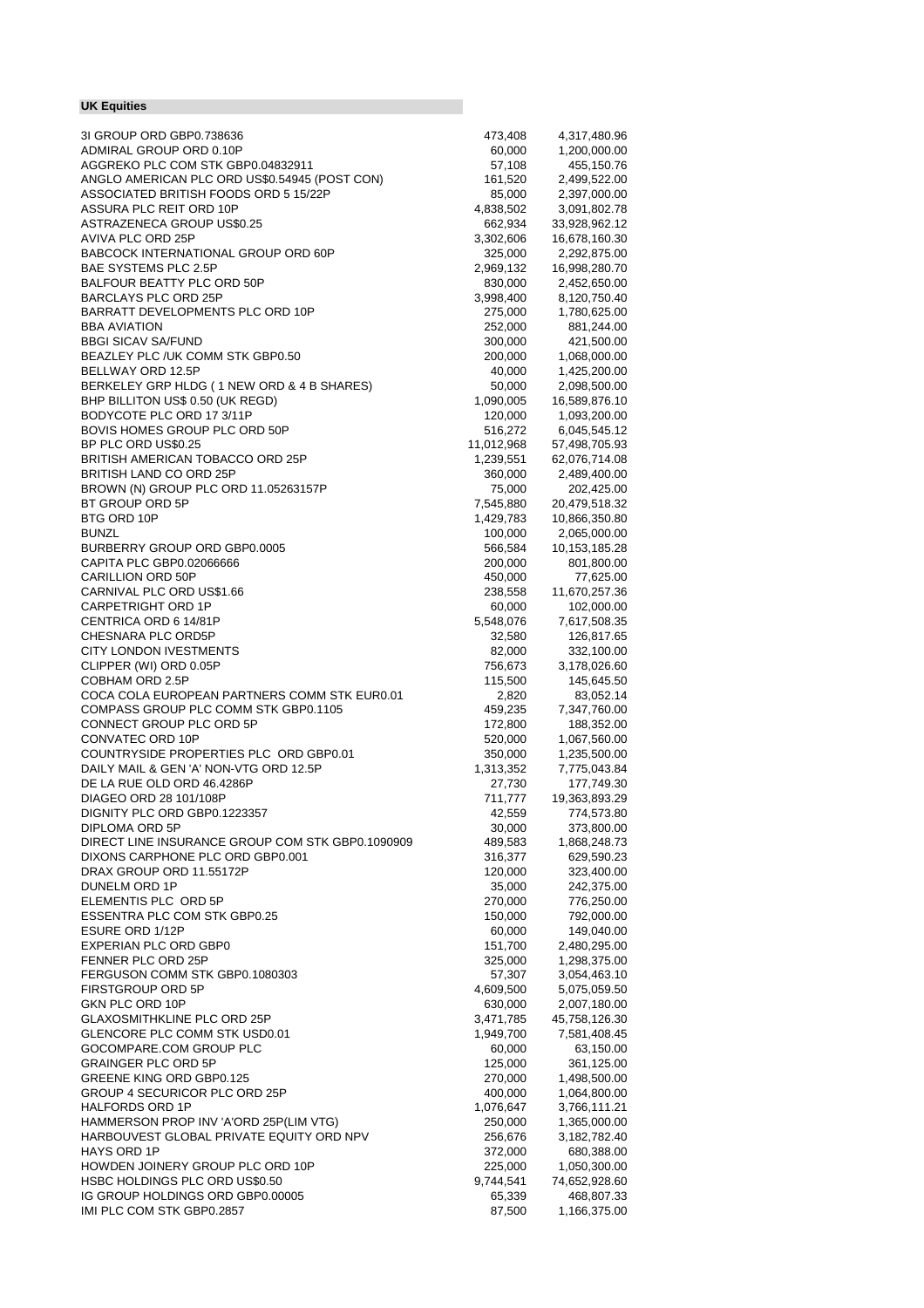## **UK Equities**

| 3I GROUP ORD GBP0.738636                         | 473,408    | 4,317,480.96  |
|--------------------------------------------------|------------|---------------|
| ADMIRAL GROUP ORD 0.10P                          | 60,000     | 1,200,000.00  |
| AGGREKO PLC COM STK GBP0.04832911                | 57,108     | 455,150.76    |
| ANGLO AMERICAN PLC ORD US\$0.54945 (POST CON)    | 161,520    | 2,499,522.00  |
|                                                  |            |               |
| ASSOCIATED BRITISH FOODS ORD 5 15/22P            | 85,000     | 2,397,000.00  |
| ASSURA PLC REIT ORD 10P                          | 4,838,502  | 3,091,802.78  |
| <b>ASTRAZENECA GROUP US\$0.25</b>                | 662,934    | 33,928,962.12 |
| AVIVA PLC ORD 25P                                | 3,302,606  | 16,678,160.30 |
|                                                  |            |               |
| BABCOCK INTERNATIONAL GROUP ORD 60P              | 325,000    | 2,292,875.00  |
| BAE SYSTEMS PLC 2.5P                             | 2,969,132  | 16,998,280.70 |
| BALFOUR BEATTY PLC ORD 50P                       | 830,000    | 2,452,650.00  |
| <b>BARCLAYS PLC ORD 25P</b>                      | 3,998,400  | 8,120,750.40  |
|                                                  |            |               |
| BARRATT DEVELOPMENTS PLC ORD 10P                 | 275,000    | 1,780,625.00  |
| <b>BBA AVIATION</b>                              | 252,000    | 881,244.00    |
| <b>BBGI SICAV SA/FUND</b>                        | 300,000    | 421,500.00    |
| BEAZLEY PLC /UK COMM STK GBP0.50                 | 200,000    | 1,068,000.00  |
|                                                  |            |               |
| BELLWAY ORD 12.5P                                | 40,000     | 1,425,200.00  |
| BERKELEY GRP HLDG (1 NEW ORD & 4 B SHARES)       | 50,000     | 2,098,500.00  |
| BHP BILLITON US\$ 0.50 (UK REGD)                 | 1,090,005  | 16,589,876.10 |
| BODYCOTE PLC ORD 17 3/11P                        | 120,000    | 1,093,200.00  |
|                                                  |            |               |
| BOVIS HOMES GROUP PLC ORD 50P                    | 516,272    | 6,045,545.12  |
| BP PLC ORD US\$0.25                              | 11,012,968 | 57,498,705.93 |
| BRITISH AMERICAN TOBACCO ORD 25P                 | 1,239,551  | 62,076,714.08 |
| BRITISH LAND CO ORD 25P                          | 360,000    | 2,489,400.00  |
| BROWN (N) GROUP PLC ORD 11.05263157P             |            |               |
|                                                  | 75,000     | 202,425.00    |
| BT GROUP ORD 5P                                  | 7,545,880  | 20,479,518.32 |
| BTG ORD 10P                                      | 1,429,783  | 10,866,350.80 |
| <b>BUNZL</b>                                     | 100,000    | 2,065,000.00  |
| BURBERRY GROUP ORD GBP0.0005                     | 566,584    | 10,153,185.28 |
|                                                  |            |               |
| CAPITA PLC GBP0.02066666                         | 200,000    | 801,800.00    |
| CARILLION ORD 50P                                | 450,000    | 77,625.00     |
| CARNIVAL PLC ORD US\$1.66                        | 238,558    | 11,670,257.36 |
| <b>CARPETRIGHT ORD 1P</b>                        | 60,000     | 102,000.00    |
| CENTRICA ORD 6 14/81P                            | 5,548,076  | 7,617,508.35  |
| CHESNARA PLC ORD5P                               |            |               |
|                                                  | 32,580     | 126,817.65    |
| <b>CITY LONDON IVESTMENTS</b>                    | 82,000     | 332,100.00    |
| CLIPPER (WI) ORD 0.05P                           | 756,673    | 3,178,026.60  |
| COBHAM ORD 2.5P                                  | 115,500    | 145,645.50    |
| COCA COLA EUROPEAN PARTNERS COMM STK EUR0.01     | 2,820      | 83,052.14     |
| COMPASS GROUP PLC COMM STK GBP0.1105             | 459,235    | 7,347,760.00  |
|                                                  |            |               |
| CONNECT GROUP PLC ORD 5P                         | 172,800    | 188,352.00    |
| <b>CONVATEC ORD 10P</b>                          | 520,000    | 1,067,560.00  |
| COUNTRYSIDE PROPERTIES PLC ORD GBP0.01           | 350,000    | 1,235,500.00  |
| DAILY MAIL & GEN 'A' NON-VTG ORD 12.5P           | 1,313,352  | 7,775,043.84  |
| DE LA RUE OLD ORD 46.4286P                       | 27,730     | 177,749.30    |
| DIAGEO ORD 28 101/108P                           |            |               |
|                                                  | 711,777    | 19,363,893.29 |
| DIGNITY PLC ORD GBP0.1223357                     | 42,559     | 774,573.80    |
| DIPLOMA ORD 5P                                   | 30,000     | 373,800.00    |
| DIRECT LINE INSURANCE GROUP COM STK GBP0.1090909 | 489,583    | 1,868,248.73  |
| DIXONS CARPHONE PLC ORD GBP0.001                 | 316,377    | 629,590.23    |
| DRAX GROUP ORD 11.55172P                         |            |               |
|                                                  | 120,000    | 323,400.00    |
| DUNELM ORD 1P                                    | 35,000     | 242,375.00    |
| ELEMENTIS PLC ORD 5P                             | 270,000    | 776,250.00    |
| <b>ESSENTRA PLC COM STK GBP0.25</b>              | 150,000    | 792,000.00    |
| <b>ESURE ORD 1/12P</b>                           | 60,000     | 149,040.00    |
|                                                  |            |               |
| EXPERIAN PLC ORD GBP0                            | 151,700    | 2,480,295.00  |
| FENNER PLC ORD 25P                               | 325,000    | 1,298,375.00  |
| FERGUSON COMM STK GBP0.1080303                   | 57,307     | 3,054,463.10  |
| <b>FIRSTGROUP ORD 5P</b>                         | 4,609,500  | 5,075,059.50  |
| GKN PLC ORD 10P                                  | 630,000    | 2,007,180.00  |
| <b>GLAXOSMITHKLINE PLC ORD 25P</b>               | 3,471,785  | 45,758,126.30 |
|                                                  |            |               |
| GLENCORE PLC COMM STK USD0.01                    | 1,949,700  | 7,581,408.45  |
| GOCOMPARE.COM GROUP PLC                          | 60,000     | 63,150.00     |
| <b>GRAINGER PLC ORD 5P</b>                       | 125,000    | 361,125.00    |
| GREENE KING ORD GBP0.125                         | 270,000    | 1,498,500.00  |
| GROUP 4 SECURICOR PLC ORD 25P                    | 400,000    | 1,064,800.00  |
|                                                  |            |               |
| <b>HALFORDS ORD 1P</b>                           | 1,076,647  | 3,766,111.21  |
| HAMMERSON PROP INV 'A'ORD 25P(LIM VTG)           | 250,000    | 1,365,000.00  |
| HARBOUVEST GLOBAL PRIVATE EQUITY ORD NPV         | 256,676    | 3,182,782.40  |
| HAYS ORD 1P                                      | 372,000    | 680,388.00    |
| HOWDEN JOINERY GROUP PLC ORD 10P                 | 225,000    | 1,050,300.00  |
| HSBC HOLDINGS PLC ORD US\$0.50                   | 9,744,541  | 74,652,928.60 |
|                                                  |            |               |
| IG GROUP HOLDINGS ORD GBP0.00005                 | 65,339     | 468,807.33    |
| IMI PLC COM STK GBP0.2857                        | 87,500     | 1,166,375.00  |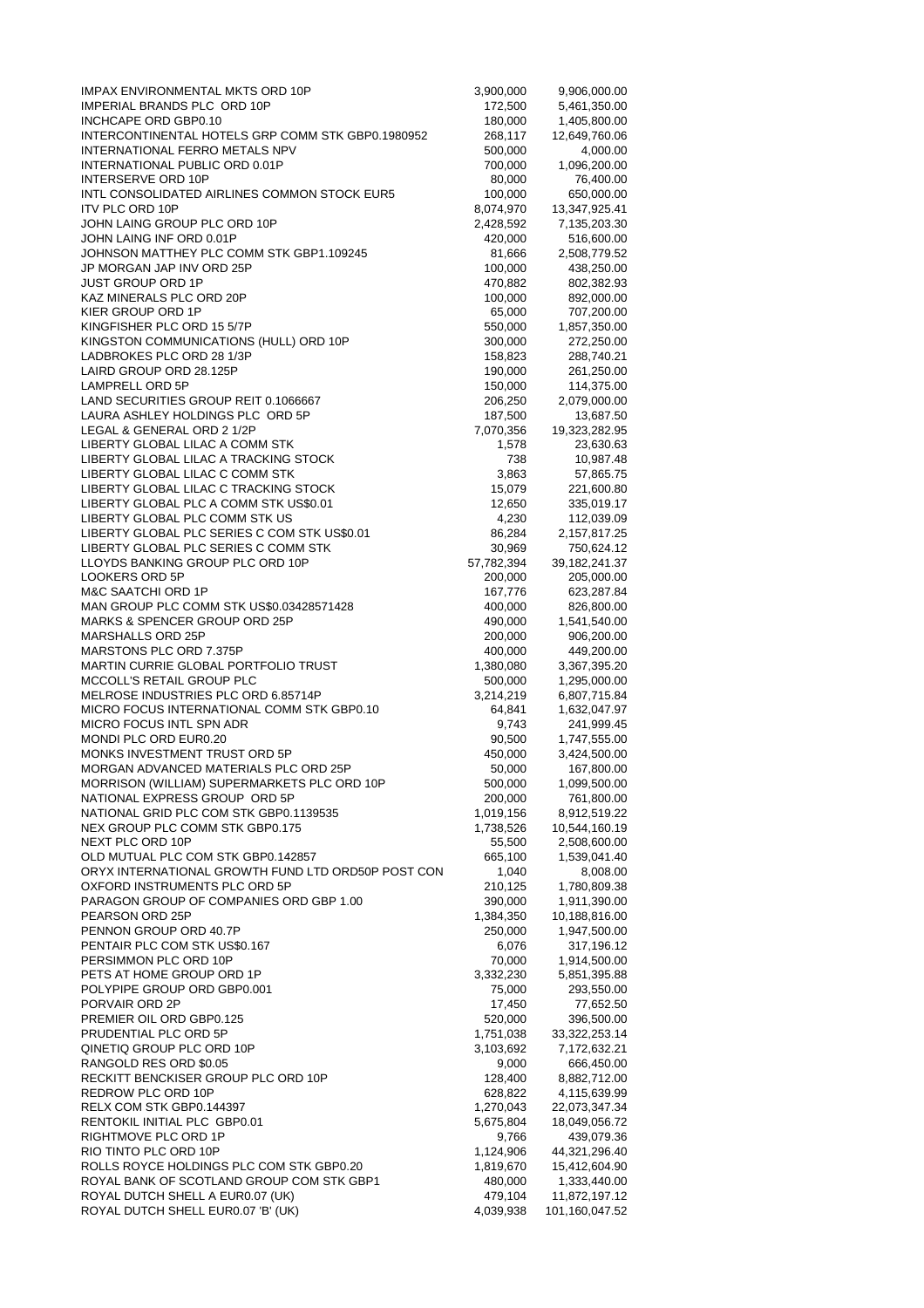| IMPAX ENVIRONMENTAL MKTS ORD 10P                                                    | 3,900,000          | 9,906,000.00                 |
|-------------------------------------------------------------------------------------|--------------------|------------------------------|
| IMPERIAL BRANDS PLC ORD 10P                                                         | 172,500            | 5,461,350.00                 |
| INCHCAPE ORD GBP0.10                                                                | 180,000            | 1,405,800.00                 |
| INTERCONTINENTAL HOTELS GRP COMM STK GBP0.1980952<br>INTERNATIONAL FERRO METALS NPV | 268,117            | 12,649,760.06                |
| INTERNATIONAL PUBLIC ORD 0.01P                                                      | 500,000<br>700,000 | 4,000.00<br>1,096,200.00     |
| <b>INTERSERVE ORD 10P</b>                                                           | 80,000             | 76,400.00                    |
| INTL CONSOLIDATED AIRLINES COMMON STOCK EUR5                                        | 100,000            | 650,000.00                   |
| <b>ITV PLC ORD 10P</b>                                                              | 8,074,970          | 13,347,925.41                |
| JOHN LAING GROUP PLC ORD 10P                                                        | 2,428,592          | 7,135,203.30                 |
| JOHN LAING INF ORD 0.01P                                                            | 420,000            | 516,600.00                   |
| JOHNSON MATTHEY PLC COMM STK GBP1.109245                                            | 81,666             | 2,508,779.52                 |
| JP MORGAN JAP INV ORD 25P                                                           | 100,000            | 438,250.00                   |
| <b>JUST GROUP ORD 1P</b>                                                            | 470,882            | 802,382.93                   |
| KAZ MINERALS PLC ORD 20P<br>KIER GROUP ORD 1P                                       | 100,000<br>65,000  | 892,000.00<br>707,200.00     |
| KINGFISHER PLC ORD 15 5/7P                                                          | 550,000            | 1,857,350.00                 |
| KINGSTON COMMUNICATIONS (HULL) ORD 10P                                              | 300,000            | 272,250.00                   |
| LADBROKES PLC ORD 28 1/3P                                                           | 158,823            | 288,740.21                   |
| LAIRD GROUP ORD 28.125P                                                             | 190,000            | 261,250.00                   |
| LAMPRELL ORD 5P                                                                     | 150,000            | 114,375.00                   |
| LAND SECURITIES GROUP REIT 0.1066667                                                | 206,250            | 2,079,000.00                 |
| LAURA ASHLEY HOLDINGS PLC ORD 5P                                                    | 187,500            | 13,687.50                    |
| LEGAL & GENERAL ORD 2 1/2P                                                          | 7,070,356          | 19,323,282.95                |
| LIBERTY GLOBAL LILAC A COMM STK<br>LIBERTY GLOBAL LILAC A TRACKING STOCK            | 1,578              | 23,630.63                    |
| LIBERTY GLOBAL LILAC C COMM STK                                                     | 738<br>3,863       | 10,987.48<br>57,865.75       |
| LIBERTY GLOBAL LILAC C TRACKING STOCK                                               | 15,079             | 221,600.80                   |
| LIBERTY GLOBAL PLC A COMM STK US\$0.01                                              | 12,650             | 335,019.17                   |
| LIBERTY GLOBAL PLC COMM STK US                                                      | 4,230              | 112,039.09                   |
| LIBERTY GLOBAL PLC SERIES C COM STK US\$0.01                                        | 86,284             | 2,157,817.25                 |
| LIBERTY GLOBAL PLC SERIES C COMM STK                                                | 30,969             | 750,624.12                   |
| LLOYDS BANKING GROUP PLC ORD 10P                                                    | 57,782,394         | 39, 182, 241. 37             |
| <b>LOOKERS ORD 5P</b>                                                               | 200,000            | 205,000.00                   |
| <b>M&amp;C SAATCHI ORD 1P</b>                                                       | 167,776            | 623,287.84                   |
| MAN GROUP PLC COMM STK US\$0.03428571428                                            | 400,000            | 826,800.00                   |
| <b>MARKS &amp; SPENCER GROUP ORD 25P</b><br>MARSHALLS ORD 25P                       | 490,000            | 1,541,540.00                 |
| MARSTONS PLC ORD 7.375P                                                             | 200,000<br>400,000 | 906,200.00<br>449,200.00     |
| <b>MARTIN CURRIE GLOBAL PORTFOLIO TRUST</b>                                         | 1,380,080          | 3,367,395.20                 |
| MCCOLL'S RETAIL GROUP PLC                                                           | 500,000            | 1,295,000.00                 |
| MELROSE INDUSTRIES PLC ORD 6.85714P                                                 | 3,214,219          | 6,807,715.84                 |
| MICRO FOCUS INTERNATIONAL COMM STK GBP0.10                                          | 64,841             | 1,632,047.97                 |
| MICRO FOCUS INTL SPN ADR                                                            | 9,743              | 241,999.45                   |
| MONDI PLC ORD EUR0.20                                                               | 90,500             | 1,747,555.00                 |
| MONKS INVESTMENT TRUST ORD 5P                                                       | 450,000            | 3,424,500.00                 |
| MORGAN ADVANCED MATERIALS PLC ORD 25P                                               | 50,000             | 167,800.00<br>1,099,500.00   |
| MORRISON (WILLIAM) SUPERMARKETS PLC ORD 10P<br>NATIONAL EXPRESS GROUP ORD 5P        | 500,000<br>200,000 | 761,800.00                   |
| NATIONAL GRID PLC COM STK GBP0.1139535                                              | 1,019,156          | 8,912,519.22                 |
| NEX GROUP PLC COMM STK GBP0.175                                                     | 1,738,526          | 10,544,160.19                |
| NEXT PLC ORD 10P                                                                    | 55,500             | 2,508,600.00                 |
| OLD MUTUAL PLC COM STK GBP0.142857                                                  | 665,100            | 1,539,041.40                 |
| ORYX INTERNATIONAL GROWTH FUND LTD ORD50P POST CON                                  | 1,040              | 8,008.00                     |
| OXFORD INSTRUMENTS PLC ORD 5P                                                       | 210,125            | 1,780,809.38                 |
| PARAGON GROUP OF COMPANIES ORD GBP 1.00                                             | 390,000            | 1,911,390.00                 |
| PEARSON ORD 25P                                                                     | 1,384,350          | 10,188,816.00                |
| PENNON GROUP ORD 40.7P<br>PENTAIR PLC COM STK US\$0.167                             | 250,000<br>6,076   | 1,947,500.00<br>317,196.12   |
| PERSIMMON PLC ORD 10P                                                               | 70,000             | 1,914,500.00                 |
| PETS AT HOME GROUP ORD 1P                                                           | 3,332,230          | 5,851,395.88                 |
| POLYPIPE GROUP ORD GBP0.001                                                         | 75,000             | 293,550.00                   |
| PORVAIR ORD 2P                                                                      | 17,450             | 77,652.50                    |
| PREMIER OIL ORD GBP0.125                                                            | 520,000            | 396,500.00                   |
| PRUDENTIAL PLC ORD 5P                                                               | 1,751,038          | 33,322,253.14                |
| QINETIQ GROUP PLC ORD 10P                                                           | 3,103,692          | 7,172,632.21                 |
| RANGOLD RES ORD \$0.05<br>RECKITT BENCKISER GROUP PLC ORD 10P                       | 9,000<br>128,400   | 666,450.00                   |
| REDROW PLC ORD 10P                                                                  | 628,822            | 8,882,712.00<br>4,115,639.99 |
| RELX COM STK GBP0.144397                                                            | 1,270,043          | 22,073,347.34                |
| RENTOKIL INITIAL PLC GBP0.01                                                        | 5,675,804          | 18,049,056.72                |
| RIGHTMOVE PLC ORD 1P                                                                | 9,766              | 439,079.36                   |
| RIO TINTO PLC ORD 10P                                                               | 1,124,906          | 44,321,296.40                |
| ROLLS ROYCE HOLDINGS PLC COM STK GBP0.20                                            | 1,819,670          | 15,412,604.90                |
| ROYAL BANK OF SCOTLAND GROUP COM STK GBP1                                           | 480,000            | 1,333,440.00                 |
| ROYAL DUTCH SHELL A EUR0.07 (UK)                                                    | 479,104            | 11,872,197.12                |
| ROYAL DUTCH SHELL EUR0.07 'B' (UK)                                                  | 4,039,938          | 101,160,047.52               |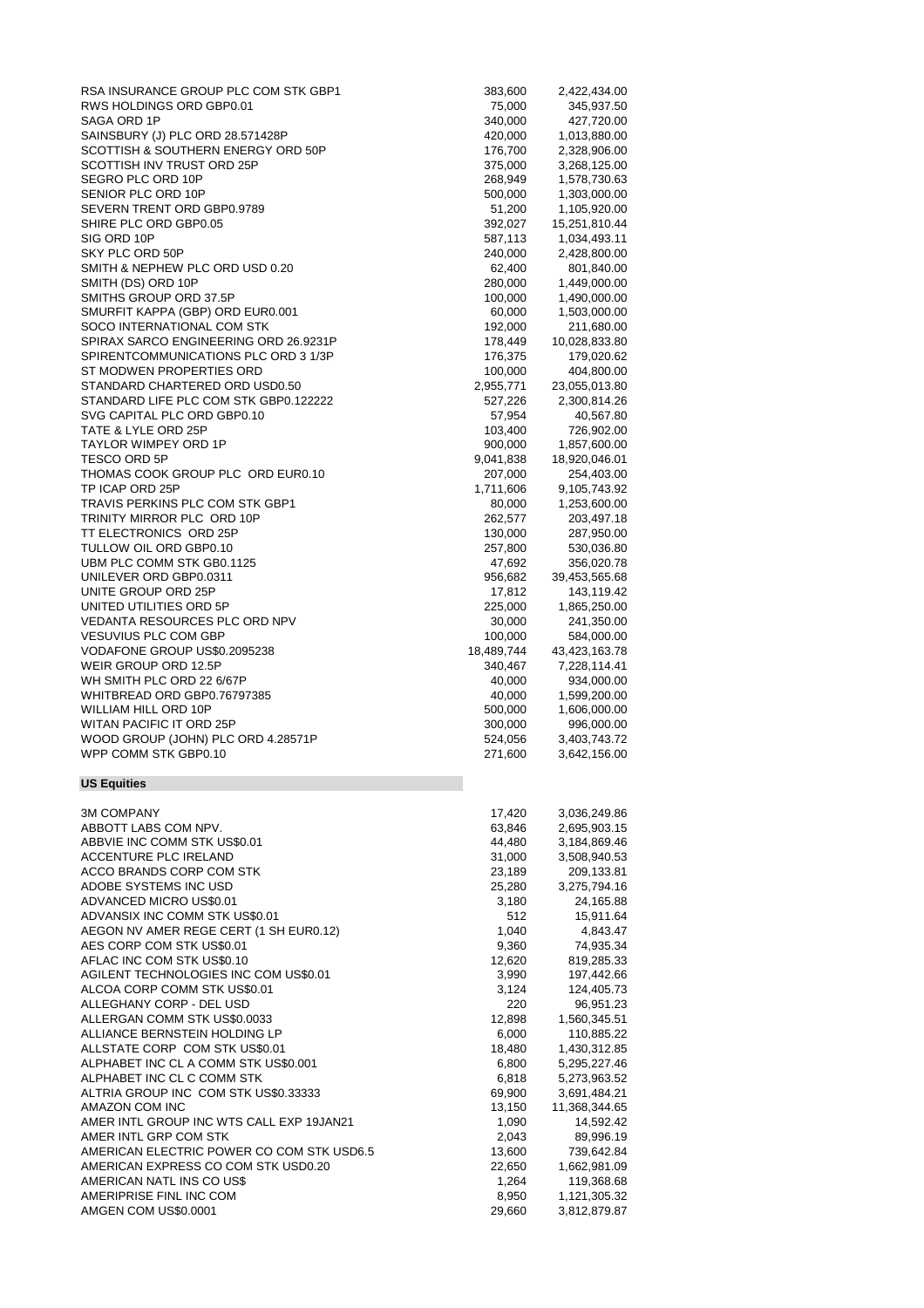| RSA INSURANCE GROUP PLC COM STK GBP1                 | 383,600         | 2,422,434.00                 |
|------------------------------------------------------|-----------------|------------------------------|
| RWS HOLDINGS ORD GBP0.01                             |                 |                              |
|                                                      | 75,000          | 345,937.50                   |
| SAGA ORD 1P                                          | 340,000         | 427,720.00                   |
| SAINSBURY (J) PLC ORD 28.571428P                     | 420,000         | 1,013,880.00                 |
| SCOTTISH & SOUTHERN ENERGY ORD 50P                   | 176,700         | 2,328,906.00                 |
| SCOTTISH INV TRUST ORD 25P                           | 375,000         | 3,268,125.00                 |
| SEGRO PLC ORD 10P                                    | 268,949         | 1,578,730.63                 |
| SENIOR PLC ORD 10P                                   | 500,000         | 1,303,000.00                 |
| SEVERN TRENT ORD GBP0.9789                           | 51,200          | 1,105,920.00                 |
| SHIRE PLC ORD GBP0.05                                | 392,027         | 15,251,810.44                |
| SIG ORD 10P                                          | 587,113         | 1,034,493.11                 |
| SKY PLC ORD 50P                                      | 240,000         | 2,428,800.00                 |
| SMITH & NEPHEW PLC ORD USD 0.20                      | 62,400          | 801,840.00                   |
| SMITH (DS) ORD 10P                                   |                 |                              |
|                                                      | 280,000         | 1,449,000.00                 |
| SMITHS GROUP ORD 37.5P                               | 100,000         | 1,490,000.00                 |
| SMURFIT KAPPA (GBP) ORD EUR0.001                     | 60,000          | 1,503,000.00                 |
| SOCO INTERNATIONAL COM STK                           | 192,000         | 211,680.00                   |
| SPIRAX SARCO ENGINEERING ORD 26.9231P                | 178,449         | 10,028,833.80                |
| SPIRENTCOMMUNICATIONS PLC ORD 3 1/3P                 | 176,375         | 179,020.62                   |
| ST MODWEN PROPERTIES ORD                             | 100,000         | 404,800.00                   |
| STANDARD CHARTERED ORD USD0.50                       | 2,955,771       | 23,055,013.80                |
| STANDARD LIFE PLC COM STK GBP0.122222                | 527,226         | 2,300,814.26                 |
| SVG CAPITAL PLC ORD GBP0.10                          | 57,954          | 40,567.80                    |
| TATE & LYLE ORD 25P                                  |                 |                              |
|                                                      | 103,400         | 726,902.00                   |
| <b>TAYLOR WIMPEY ORD 1P</b>                          | 900,000         | 1,857,600.00                 |
| <b>TESCO ORD 5P</b>                                  | 9,041,838       | 18,920,046.01                |
| THOMAS COOK GROUP PLC ORD EUR0.10                    | 207,000         | 254,403.00                   |
| TP ICAP ORD 25P                                      | 1,711,606       | 9,105,743.92                 |
| TRAVIS PERKINS PLC COM STK GBP1                      | 80,000          | 1,253,600.00                 |
| TRINITY MIRROR PLC ORD 10P                           | 262,577         | 203,497.18                   |
| TT ELECTRONICS ORD 25P                               | 130,000         | 287,950.00                   |
| TULLOW OIL ORD GBP0.10                               | 257,800         | 530,036.80                   |
| UBM PLC COMM STK GB0.1125                            | 47,692          | 356,020.78                   |
| UNILEVER ORD GBP0.0311                               |                 |                              |
|                                                      | 956,682         | 39,453,565.68                |
| UNITE GROUP ORD 25P                                  | 17,812          | 143,119.42                   |
| UNITED UTILITIES ORD 5P                              | 225,000         | 1,865,250.00                 |
| VEDANTA RESOURCES PLC ORD NPV                        | 30,000          | 241,350.00                   |
| <b>VESUVIUS PLC COM GBP</b>                          | 100,000         | 584,000.00                   |
| VODAFONE GROUP US\$0.2095238                         | 18,489,744      | 43,423,163.78                |
| WEIR GROUP ORD 12.5P                                 | 340,467         | 7,228,114.41                 |
| WH SMITH PLC ORD 22 6/67P                            | 40,000          | 934,000.00                   |
| WHITBREAD ORD GBP0.76797385                          | 40,000          | 1,599,200.00                 |
| WILLIAM HILL ORD 10P                                 | 500,000         | 1,606,000.00                 |
| WITAN PACIFIC IT ORD 25P                             |                 |                              |
|                                                      | 300,000         | 996,000.00                   |
| WOOD GROUP (JOHN) PLC ORD 4.28571P                   | 524,056         | 3,403,743.72                 |
| WPP COMM STK GBP0.10                                 | 271,600         | 3,642,156.00                 |
| <b>US Equities</b>                                   |                 |                              |
|                                                      |                 |                              |
| <b>3M COMPANY</b>                                    | 17,420          | 3,036,249.86                 |
| ABBOTT LABS COM NPV.                                 | 63,846          | 2,695,903.15                 |
| ABBVIE INC COMM STK US\$0.01                         | 44,480          | 3,184,869.46                 |
| ACCENTURE PLC IRELAND                                | 31,000          | 3,508,940.53                 |
| ACCO BRANDS CORP COM STK                             | 23,189          | 209,133.81                   |
| ADOBE SYSTEMS INC USD                                |                 | 3,275,794.16                 |
|                                                      | 25,280          |                              |
| ADVANCED MICRO US\$0.01                              | 3,180           | 24,165.88                    |
| ADVANSIX INC COMM STK US\$0.01                       | 512             | 15,911.64                    |
| AEGON NV AMER REGE CERT (1 SH EUR0.12)               | 1,040           | 4,843.47                     |
| AES CORP COM STK US\$0.01                            | 9,360           | 74,935.34                    |
| AFLAC INC COM STK US\$0.10                           | 12,620          | 819,285.33                   |
| AGILENT TECHNOLOGIES INC COM US\$0.01                | 3,990           | 197,442.66                   |
| ALCOA CORP COMM STK US\$0.01                         | 3,124           | 124,405.73                   |
| ALLEGHANY CORP - DEL USD                             | 220             | 96,951.23                    |
| ALLERGAN COMM STK US\$0.0033                         | 12,898          | 1,560,345.51                 |
| ALLIANCE BERNSTEIN HOLDING LP                        |                 |                              |
|                                                      | 6,000           | 110,885.22                   |
| ALLSTATE CORP COM STK US\$0.01                       | 18,480          | 1,430,312.85                 |
| ALPHABET INC CL A COMM STK US\$0.001                 | 6,800           | 5,295,227.46                 |
| ALPHABET INC CL C COMM STK                           | 6,818           | 5,273,963.52                 |
| ALTRIA GROUP INC COM STK US\$0.33333                 | 69,900          | 3,691,484.21                 |
| AMAZON COM INC                                       | 13,150          | 11,368,344.65                |
| AMER INTL GROUP INC WTS CALL EXP 19JAN21             | 1,090           | 14,592.42                    |
| AMER INTL GRP COM STK                                | 2,043           | 89,996.19                    |
| AMERICAN ELECTRIC POWER CO COM STK USD6.5            | 13,600          | 739,642.84                   |
| AMERICAN EXPRESS CO COM STK USD0.20                  | 22,650          | 1,662,981.09                 |
|                                                      |                 |                              |
| AMERICAN NATL INS CO US\$<br>AMERIPRISE FINL INC COM | 1,264           | 119,368.68                   |
|                                                      |                 |                              |
| AMGEN COM US\$0.0001                                 | 8,950<br>29,660 | 1,121,305.32<br>3,812,879.87 |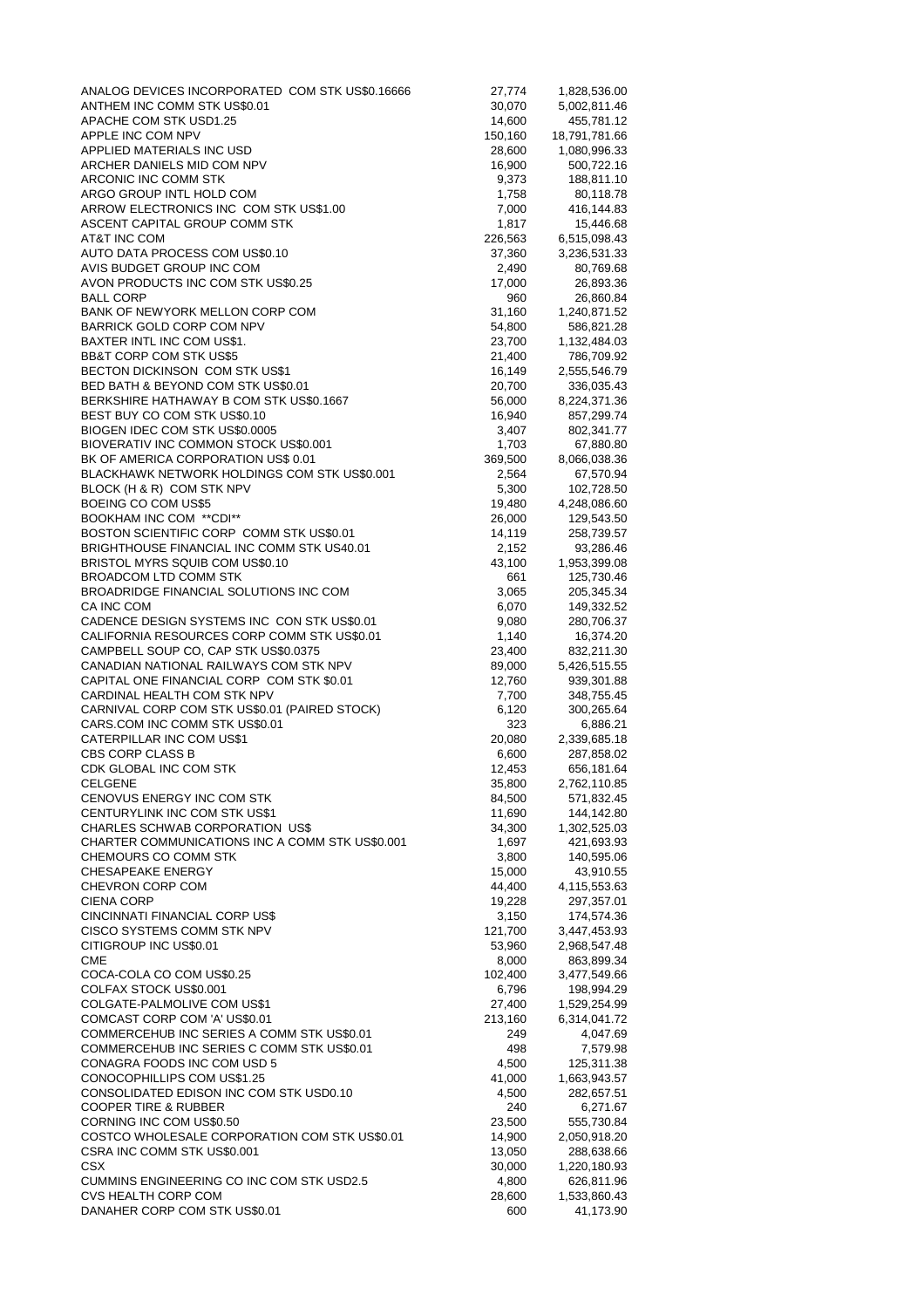| ANALOG DEVICES INCORPORATED COM STK US\$0.16666                                     | 27,774           | 1,828,536.00               |
|-------------------------------------------------------------------------------------|------------------|----------------------------|
| ANTHEM INC COMM STK US\$0.01                                                        | 30,070           | 5,002,811.46               |
| APACHE COM STK USD1.25                                                              | 14,600           | 455,781.12                 |
| APPLE INC COM NPV                                                                   | 150,160          | 18,791,781.66              |
| APPLIED MATERIALS INC USD                                                           | 28,600           | 1,080,996.33               |
| ARCHER DANIELS MID COM NPV<br>ARCONIC INC COMM STK                                  | 16,900<br>9,373  | 500,722.16<br>188,811.10   |
| ARGO GROUP INTL HOLD COM                                                            | 1,758            | 80,118.78                  |
| ARROW ELECTRONICS INC COM STK US\$1.00                                              | 7,000            | 416,144.83                 |
| ASCENT CAPITAL GROUP COMM STK                                                       | 1,817            | 15,446.68                  |
| AT&T INC COM                                                                        | 226,563          | 6,515,098.43               |
| AUTO DATA PROCESS COM US\$0.10                                                      | 37,360           | 3,236,531.33               |
| AVIS BUDGET GROUP INC COM                                                           | 2,490            | 80,769.68                  |
| AVON PRODUCTS INC COM STK US\$0.25                                                  | 17,000           | 26,893.36                  |
| BALL CORP                                                                           | 960              | 26,860.84                  |
| BANK OF NEWYORK MELLON CORP COM<br>BARRICK GOLD CORP COM NPV                        | 31,160<br>54,800 | 1,240,871.52<br>586,821.28 |
| BAXTER INTL INC COM US\$1.                                                          | 23,700           | 1,132,484.03               |
| <b>BB&amp;T CORP COM STK US\$5</b>                                                  | 21,400           | 786,709.92                 |
| BECTON DICKINSON COM STK US\$1                                                      | 16,149           | 2,555,546.79               |
| BED BATH & BEYOND COM STK US\$0.01                                                  | 20,700           | 336,035.43                 |
| BERKSHIRE HATHAWAY B COM STK US\$0.1667                                             | 56,000           | 8,224,371.36               |
| BEST BUY CO COM STK US\$0.10                                                        | 16,940           | 857,299.74                 |
| BIOGEN IDEC COM STK US\$0.0005                                                      | 3,407            | 802,341.77                 |
| BIOVERATIV INC COMMON STOCK US\$0.001                                               | 1,703            | 67,880.80                  |
| BK OF AMERICA CORPORATION US\$ 0.01                                                 | 369,500          | 8,066,038.36               |
| BLACKHAWK NETWORK HOLDINGS COM STK US\$0.001<br>BLOCK (H & R) COM STK NPV           | 2,564<br>5,300   | 67,570.94<br>102,728.50    |
| BOEING CO COM US\$5                                                                 | 19,480           | 4,248,086.60               |
| BOOKHAM INC COM **CDI**                                                             | 26,000           | 129,543.50                 |
| BOSTON SCIENTIFIC CORP COMM STK US\$0.01                                            | 14,119           | 258,739.57                 |
| BRIGHTHOUSE FINANCIAL INC COMM STK US40.01                                          | 2,152            | 93,286.46                  |
| BRISTOL MYRS SQUIB COM US\$0.10                                                     | 43,100           | 1,953,399.08               |
| BROADCOM LTD COMM STK                                                               | 661              | 125,730.46                 |
| BROADRIDGE FINANCIAL SOLUTIONS INC COM                                              | 3,065            | 205,345.34                 |
| CA INC COM                                                                          | 6,070            | 149,332.52                 |
| CADENCE DESIGN SYSTEMS INC CON STK US\$0.01                                         | 9,080            | 280,706.37                 |
| CALIFORNIA RESOURCES CORP COMM STK US\$0.01<br>CAMPBELL SOUP CO, CAP STK US\$0.0375 | 1,140<br>23,400  | 16,374.20<br>832,211.30    |
| CANADIAN NATIONAL RAILWAYS COM STK NPV                                              | 89,000           | 5,426,515.55               |
| CAPITAL ONE FINANCIAL CORP COM STK \$0.01                                           | 12,760           | 939,301.88                 |
| CARDINAL HEALTH COM STK NPV                                                         | 7,700            | 348,755.45                 |
| CARNIVAL CORP COM STK US\$0.01 (PAIRED STOCK)                                       | 6,120            | 300,265.64                 |
| CARS.COM INC COMM STK US\$0.01                                                      | 323              | 6,886.21                   |
| CATERPILLAR INC COM US\$1                                                           | 20,080           | 2,339,685.18               |
| CBS CORP CLASS B                                                                    | 6,600            | 287,858.02                 |
| CDK GLOBAL INC COM STK<br><b>CELGENE</b>                                            | 12,453           | 656,181.64                 |
| CENOVUS ENERGY INC COM STK                                                          | 35,800<br>84,500 | 2,762,110.85<br>571,832.45 |
| CENTURYLINK INC COM STK US\$1                                                       | 11,690           | 144,142.80                 |
| CHARLES SCHWAB CORPORATION US\$                                                     | 34,300           | 1,302,525.03               |
| CHARTER COMMUNICATIONS INC A COMM STK US\$0.001                                     | 1,697            | 421,693.93                 |
| CHEMOURS CO COMM STK                                                                | 3,800            | 140,595.06                 |
| <b>CHESAPEAKE ENERGY</b>                                                            | 15,000           | 43,910.55                  |
| CHEVRON CORP COM                                                                    | 44,400           | 4,115,553.63               |
| <b>CIENA CORP</b>                                                                   | 19,228           | 297,357.01                 |
| CINCINNATI FINANCIAL CORP US\$<br>CISCO SYSTEMS COMM STK NPV                        | 3,150<br>121,700 | 174,574.36<br>3,447,453.93 |
| CITIGROUP INC US\$0.01                                                              | 53,960           | 2,968,547.48               |
| <b>CME</b>                                                                          | 8,000            | 863,899.34                 |
| COCA-COLA CO COM US\$0.25                                                           | 102,400          | 3,477,549.66               |
| COLFAX STOCK US\$0.001                                                              | 6,796            | 198,994.29                 |
| COLGATE-PALMOLIVE COM US\$1                                                         | 27,400           | 1,529,254.99               |
| COMCAST CORP COM 'A' US\$0.01                                                       | 213,160          | 6,314,041.72               |
| COMMERCEHUB INC SERIES A COMM STK US\$0.01                                          | 249              | 4,047.69                   |
| COMMERCEHUB INC SERIES C COMM STK US\$0.01                                          | 498              | 7,579.98                   |
| CONAGRA FOODS INC COM USD 5<br>CONOCOPHILLIPS COM US\$1.25                          | 4,500<br>41,000  | 125,311.38<br>1,663,943.57 |
| CONSOLIDATED EDISON INC COM STK USD0.10                                             | 4,500            | 282,657.51                 |
| <b>COOPER TIRE &amp; RUBBER</b>                                                     | 240              | 6,271.67                   |
| CORNING INC COM US\$0.50                                                            | 23,500           | 555,730.84                 |
| COSTCO WHOLESALE CORPORATION COM STK US\$0.01                                       | 14,900           | 2,050,918.20               |
| CSRA INC COMM STK US\$0.001                                                         | 13,050           | 288,638.66                 |
| <b>CSX</b>                                                                          | 30,000           | 1,220,180.93               |
| CUMMINS ENGINEERING CO INC COM STK USD2.5                                           | 4,800            | 626,811.96                 |
| <b>CVS HEALTH CORP COM</b><br>DANAHER CORP COM STK US\$0.01                         | 28,600<br>600    | 1,533,860.43<br>41,173.90  |
|                                                                                     |                  |                            |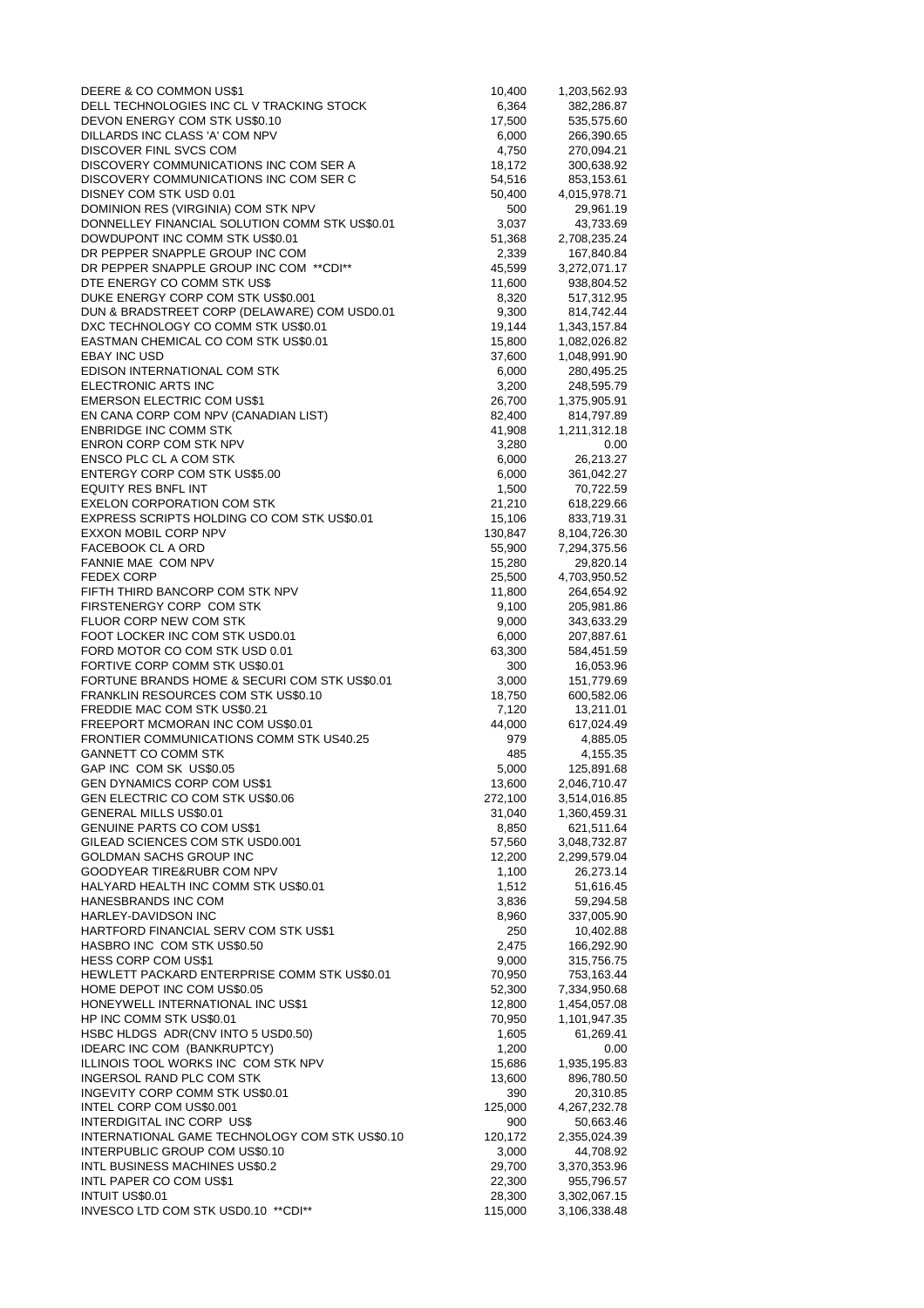| DEERE & CO COMMON US\$1                                                               | 10,400            | 1,203,562.93                 |
|---------------------------------------------------------------------------------------|-------------------|------------------------------|
| DELL TECHNOLOGIES INC CL V TRACKING STOCK                                             | 6,364             | 382,286.87                   |
| DEVON ENERGY COM STK US\$0.10<br>DILLARDS INC CLASS 'A' COM NPV                       | 17,500<br>6,000   | 535,575.60<br>266,390.65     |
| DISCOVER FINL SVCS COM                                                                | 4,750             | 270,094.21                   |
| DISCOVERY COMMUNICATIONS INC COM SER A                                                | 18,172            | 300,638.92                   |
| DISCOVERY COMMUNICATIONS INC COM SER C                                                | 54,516            | 853,153.61                   |
| DISNEY COM STK USD 0.01                                                               | 50,400            | 4,015,978.71                 |
| DOMINION RES (VIRGINIA) COM STK NPV<br>DONNELLEY FINANCIAL SOLUTION COMM STK US\$0.01 | 500<br>3,037      | 29,961.19<br>43,733.69       |
| DOWDUPONT INC COMM STK US\$0.01                                                       | 51,368            | 2,708,235.24                 |
| DR PEPPER SNAPPLE GROUP INC COM                                                       | 2,339             | 167,840.84                   |
| DR PEPPER SNAPPLE GROUP INC COM **CDI**                                               | 45,599            | 3,272,071.17                 |
| DTE ENERGY CO COMM STK US\$                                                           | 11,600            | 938,804.52                   |
| DUKE ENERGY CORP COM STK US\$0.001<br>DUN & BRADSTREET CORP (DELAWARE) COM USD0.01    | 8,320<br>9,300    | 517,312.95<br>814,742.44     |
| DXC TECHNOLOGY CO COMM STK US\$0.01                                                   | 19,144            | 1,343,157.84                 |
| EASTMAN CHEMICAL CO COM STK US\$0.01                                                  | 15,800            | 1,082,026.82                 |
| EBAY INC USD                                                                          | 37,600            | 1,048,991.90                 |
| EDISON INTERNATIONAL COM STK                                                          | 6,000             | 280,495.25                   |
| ELECTRONIC ARTS INC<br><b>EMERSON ELECTRIC COM US\$1</b>                              | 3,200<br>26,700   | 248,595.79                   |
| EN CANA CORP COM NPV (CANADIAN LIST)                                                  | 82,400            | 1,375,905.91<br>814,797.89   |
| <b>ENBRIDGE INC COMM STK</b>                                                          | 41,908            | 1,211,312.18                 |
| ENRON CORP COM STK NPV                                                                | 3,280             | 0.00                         |
| ENSCO PLC CL A COM STK                                                                | 6,000             | 26,213.27                    |
| ENTERGY CORP COM STK US\$5.00                                                         | 6,000             | 361,042.27                   |
| EQUITY RES BNFL INT<br><b>EXELON CORPORATION COM STK</b>                              | 1,500<br>21,210   | 70,722.59<br>618,229.66      |
| EXPRESS SCRIPTS HOLDING CO COM STK US\$0.01                                           | 15,106            | 833,719.31                   |
| <b>EXXON MOBIL CORP NPV</b>                                                           | 130,847           | 8,104,726.30                 |
| FACEBOOK CL A ORD                                                                     | 55,900            | 7,294,375.56                 |
| FANNIE MAE COM NPV                                                                    | 15,280            | 29,820.14                    |
| FEDEX CORP<br>FIFTH THIRD BANCORP COM STK NPV                                         | 25,500<br>11,800  | 4,703,950.52<br>264,654.92   |
| FIRSTENERGY CORP COM STK                                                              | 9,100             | 205,981.86                   |
| FLUOR CORP NEW COM STK                                                                | 9,000             | 343,633.29                   |
| FOOT LOCKER INC COM STK USD0.01                                                       | 6,000             | 207,887.61                   |
| FORD MOTOR CO COM STK USD 0.01                                                        | 63,300            | 584,451.59                   |
| FORTIVE CORP COMM STK US\$0.01<br>FORTUNE BRANDS HOME & SECURI COM STK US\$0.01       | 300<br>3,000      | 16,053.96<br>151,779.69      |
| FRANKLIN RESOURCES COM STK US\$0.10                                                   | 18,750            | 600,582.06                   |
| FREDDIE MAC COM STK US\$0.21                                                          | 7,120             | 13,211.01                    |
| FREEPORT MCMORAN INC COM US\$0.01                                                     | 44,000            | 617,024.49                   |
| FRONTIER COMMUNICATIONS COMM STK US40.25                                              | 979               | 4,885.05                     |
| <b>GANNETT CO COMM STK</b><br>GAP INC COM SK US\$0.05                                 | 485<br>5,000      | 4,155.35<br>125,891.68       |
| GEN DYNAMICS CORP COM US\$1                                                           | 13,600            | 2,046,710.47                 |
| GEN ELECTRIC CO COM STK US\$0.06                                                      | 272,100           | 3,514,016.85                 |
| GENERAL MILLS US\$0.01                                                                | 31,040            | 1,360,459.31                 |
| GENUINE PARTS CO COM US\$1                                                            | 8,850             | 621,511.64                   |
| GILEAD SCIENCES COM STK USD0.001<br>GOLDMAN SACHS GROUP INC                           | 57,560<br>12,200  | 3,048,732.87<br>2,299,579.04 |
| GOODYEAR TIRE&RUBR COM NPV                                                            | 1,100             | 26,273.14                    |
| HALYARD HEALTH INC COMM STK US\$0.01                                                  | 1,512             | 51,616.45                    |
| HANESBRANDS INC COM                                                                   | 3,836             | 59,294.58                    |
| HARLEY-DAVIDSON INC                                                                   | 8,960             | 337,005.90                   |
| HARTFORD FINANCIAL SERV COM STK US\$1<br>HASBRO INC COM STK US\$0.50                  | 250<br>2,475      | 10,402.88<br>166,292.90      |
| HESS CORP COM US\$1                                                                   | 9,000             | 315,756.75                   |
| HEWLETT PACKARD ENTERPRISE COMM STK US\$0.01                                          | 70,950            | 753,163.44                   |
| HOME DEPOT INC COM US\$0.05                                                           | 52,300            | 7,334,950.68                 |
| HONEYWELL INTERNATIONAL INC US\$1                                                     | 12,800            | 1,454,057.08                 |
| HP INC COMM STK US\$0.01<br>HSBC HLDGS ADR(CNV INTO 5 USD0.50)                        | 70,950<br>1,605   | 1,101,947.35<br>61,269.41    |
| IDEARC INC COM (BANKRUPTCY)                                                           | 1,200             | 0.00                         |
| ILLINOIS TOOL WORKS INC COM STK NPV                                                   | 15,686            | 1,935,195.83                 |
| INGERSOL RAND PLC COM STK                                                             | 13,600            | 896,780.50                   |
| INGEVITY CORP COMM STK US\$0.01                                                       | 390               | 20,310.85                    |
| INTEL CORP COM US\$0.001<br>INTERDIGITAL INC CORP US\$                                | 125,000<br>900    | 4,267,232.78                 |
| INTERNATIONAL GAME TECHNOLOGY COM STK US\$0.10                                        | 120,172           | 50,663.46<br>2,355,024.39    |
| INTERPUBLIC GROUP COM US\$0.10                                                        | 3,000             | 44,708.92                    |
| INTL BUSINESS MACHINES US\$0.2                                                        | 29,700            | 3,370,353.96                 |
| INTL PAPER CO COM US\$1                                                               | 22,300            | 955,796.57                   |
| <b>INTUIT US\$0.01</b><br>INVESCO LTD COM STK USD0.10 **CDI**                         | 28,300<br>115,000 | 3,302,067.15<br>3,106,338.48 |
|                                                                                       |                   |                              |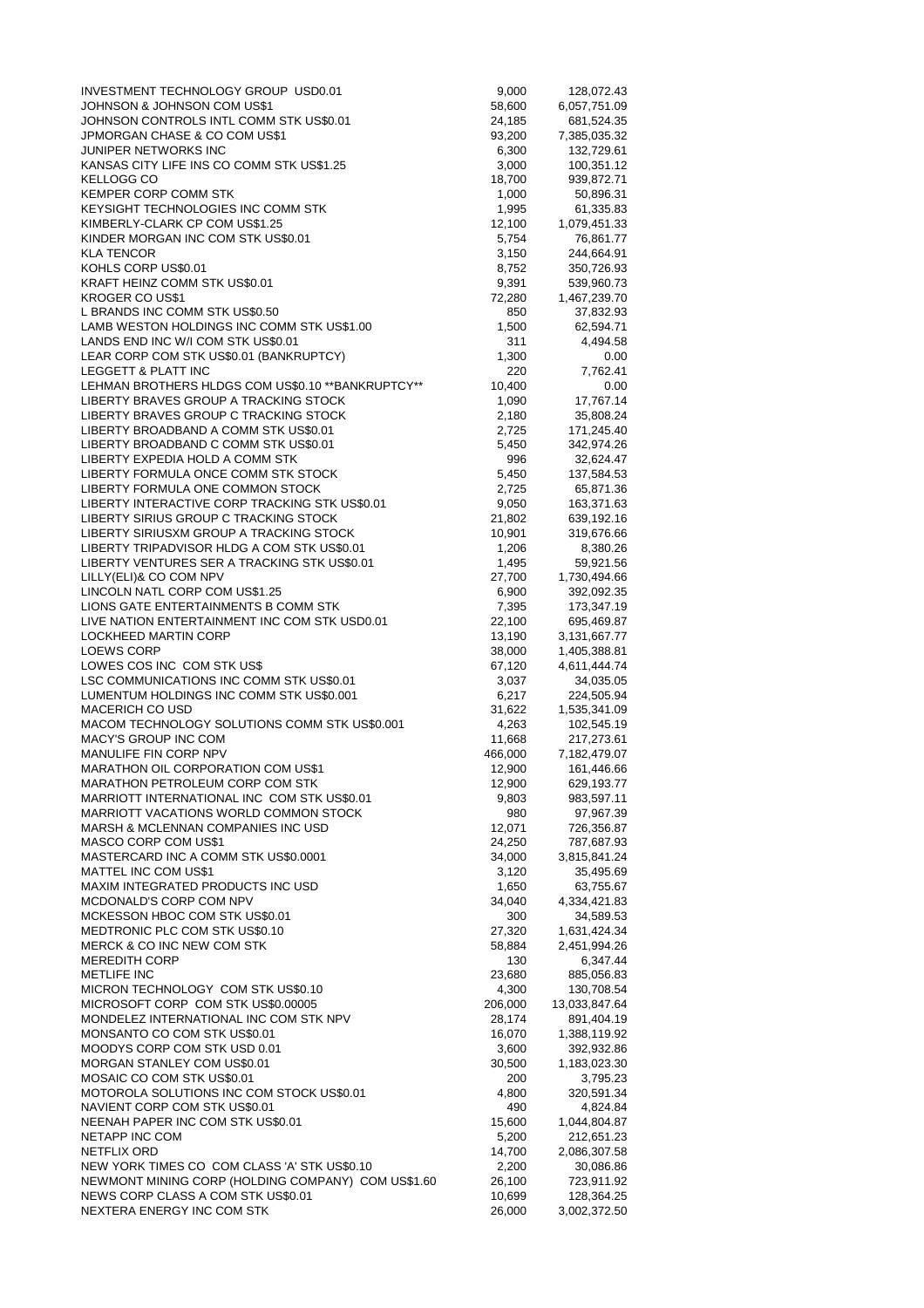| INVESTMENT TECHNOLOGY GROUP USD0.01                                            | 9,000            | 128,072.43                   |
|--------------------------------------------------------------------------------|------------------|------------------------------|
| JOHNSON & JOHNSON COM US\$1                                                    | 58,600           | 6,057,751.09                 |
| JOHNSON CONTROLS INTL COMM STK US\$0.01<br>JPMORGAN CHASE & CO COM US\$1       | 24,185           | 681,524.35<br>7,385,035.32   |
| JUNIPER NETWORKS INC                                                           | 93,200<br>6,300  | 132,729.61                   |
| KANSAS CITY LIFE INS CO COMM STK US\$1.25                                      | 3,000            | 100,351.12                   |
| <b>KELLOGG CO</b>                                                              | 18,700           | 939,872.71                   |
| KEMPER CORP COMM STK                                                           | 1,000            | 50,896.31                    |
| KEYSIGHT TECHNOLOGIES INC COMM STK                                             | 1,995            | 61,335.83                    |
| KIMBERLY-CLARK CP COM US\$1.25                                                 | 12,100           | 1,079,451.33                 |
| KINDER MORGAN INC COM STK US\$0.01                                             | 5,754            | 76,861.77                    |
| <b>KLA TENCOR</b>                                                              | 3,150            | 244,664.91                   |
| KOHLS CORP US\$0.01                                                            | 8,752            | 350,726.93                   |
| KRAFT HEINZ COMM STK US\$0.01<br><b>KROGER CO US\$1</b>                        | 9,391<br>72,280  | 539,960.73<br>1,467,239.70   |
| L BRANDS INC COMM STK US\$0.50                                                 | 850              | 37,832.93                    |
| LAMB WESTON HOLDINGS INC COMM STK US\$1.00                                     | 1,500            | 62,594.71                    |
| LANDS END INC W/I COM STK US\$0.01                                             | 311              | 4,494.58                     |
| LEAR CORP COM STK US\$0.01 (BANKRUPTCY)                                        | 1,300            | 0.00                         |
| LEGGETT & PLATT INC                                                            | 220              | 7,762.41                     |
| LEHMAN BROTHERS HLDGS COM US\$0.10 ** BANKRUPTCY**                             | 10,400           | 0.00                         |
| LIBERTY BRAVES GROUP A TRACKING STOCK                                          | 1,090            | 17,767.14                    |
| LIBERTY BRAVES GROUP C TRACKING STOCK                                          | 2,180            | 35,808.24                    |
| LIBERTY BROADBAND A COMM STK US\$0.01                                          | 2,725            | 171,245.40                   |
| LIBERTY BROADBAND C COMM STK US\$0.01<br>LIBERTY EXPEDIA HOLD A COMM STK       | 5,450<br>996     | 342,974.26                   |
| LIBERTY FORMULA ONCE COMM STK STOCK                                            | 5,450            | 32,624.47<br>137,584.53      |
| LIBERTY FORMULA ONE COMMON STOCK                                               | 2,725            | 65,871.36                    |
| LIBERTY INTERACTIVE CORP TRACKING STK US\$0.01                                 | 9,050            | 163,371.63                   |
| LIBERTY SIRIUS GROUP C TRACKING STOCK                                          | 21,802           | 639,192.16                   |
| LIBERTY SIRIUSXM GROUP A TRACKING STOCK                                        | 10,901           | 319,676.66                   |
| LIBERTY TRIPADVISOR HLDG A COM STK US\$0.01                                    | 1,206            | 8,380.26                     |
| LIBERTY VENTURES SER A TRACKING STK US\$0.01                                   | 1,495            | 59,921.56                    |
| LILLY(ELI)& CO COM NPV                                                         | 27,700           | 1,730,494.66                 |
| LINCOLN NATL CORP COM US\$1.25                                                 | 6,900            | 392,092.35                   |
| LIONS GATE ENTERTAINMENTS B COMM STK                                           | 7,395            | 173,347.19                   |
| LIVE NATION ENTERTAINMENT INC COM STK USD0.01                                  | 22,100           | 695,469.87                   |
| LOCKHEED MARTIN CORP<br><b>LOEWS CORP</b>                                      | 13,190<br>38,000 | 3,131,667.77<br>1,405,388.81 |
| LOWES COS INC COM STK US\$                                                     | 67,120           | 4,611,444.74                 |
| LSC COMMUNICATIONS INC COMM STK US\$0.01                                       | 3,037            | 34,035.05                    |
| LUMENTUM HOLDINGS INC COMM STK US\$0.001                                       | 6,217            | 224,505.94                   |
| <b>MACERICH CO USD</b>                                                         | 31,622           | 1,535,341.09                 |
| MACOM TECHNOLOGY SOLUTIONS COMM STK US\$0.001                                  | 4,263            | 102,545.19                   |
| MACY'S GROUP INC COM                                                           | 11,668           | 217,273.61                   |
| MANULIFE FIN CORP NPV                                                          | 466,000          | 7,182,479.07                 |
| <b>MARATHON OIL CORPORATION COM US\$1</b>                                      | 12,900           | 161,446.66                   |
| MARATHON PETROLEUM CORP COM STK<br>MARRIOTT INTERNATIONAL INC COM STK US\$0.01 | 12,900           | 629,193.77<br>983,597.11     |
| MARRIOTT VACATIONS WORLD COMMON STOCK                                          | 9,803<br>980     | 97,967.39                    |
| <b>MARSH &amp; MCLENNAN COMPANIES INC USD</b>                                  | 12,071           | 726,356.87                   |
| MASCO CORP COM US\$1                                                           | 24,250           | 787,687.93                   |
| MASTERCARD INC A COMM STK US\$0.0001                                           | 34,000           | 3,815,841.24                 |
| <b>MATTEL INC COM US\$1</b>                                                    | 3,120            | 35,495.69                    |
| MAXIM INTEGRATED PRODUCTS INC USD                                              | 1,650            | 63,755.67                    |
| MCDONALD'S CORP COM NPV                                                        | 34,040           | 4,334,421.83                 |
| MCKESSON HBOC COM STK US\$0.01                                                 | 300              | 34,589.53                    |
| MEDTRONIC PLC COM STK US\$0.10                                                 | 27,320           | 1,631,424.34                 |
| MERCK & CO INC NEW COM STK<br><b>MEREDITH CORP</b>                             | 58,884<br>130    | 2,451,994.26<br>6,347.44     |
| <b>METLIFE INC</b>                                                             | 23,680           | 885,056.83                   |
| MICRON TECHNOLOGY COM STK US\$0.10                                             | 4,300            | 130,708.54                   |
| MICROSOFT CORP COM STK US\$0.00005                                             | 206,000          | 13,033,847.64                |
| MONDELEZ INTERNATIONAL INC COM STK NPV                                         | 28,174           | 891,404.19                   |
| MONSANTO CO COM STK US\$0.01                                                   | 16,070           | 1,388,119.92                 |
| MOODYS CORP COM STK USD 0.01                                                   | 3,600            | 392,932.86                   |
| MORGAN STANLEY COM US\$0.01                                                    | 30,500           | 1,183,023.30                 |
| MOSAIC CO COM STK US\$0.01                                                     | 200              | 3,795.23                     |
| MOTOROLA SOLUTIONS INC COM STOCK US\$0.01                                      | 4,800            | 320,591.34                   |
| NAVIENT CORP COM STK US\$0.01<br>NEENAH PAPER INC COM STK US\$0.01             | 490<br>15,600    | 4,824.84<br>1,044,804.87     |
| NETAPP INC COM                                                                 | 5,200            | 212,651.23                   |
| NETFLIX ORD                                                                    | 14,700           | 2,086,307.58                 |
| NEW YORK TIMES CO COM CLASS 'A' STK US\$0.10                                   | 2,200            | 30,086.86                    |
| NEWMONT MINING CORP (HOLDING COMPANY) COM US\$1.60                             | 26,100           | 723,911.92                   |
| NEWS CORP CLASS A COM STK US\$0.01                                             | 10,699           | 128,364.25                   |
| NEXTERA ENERGY INC COM STK                                                     | 26,000           | 3,002,372.50                 |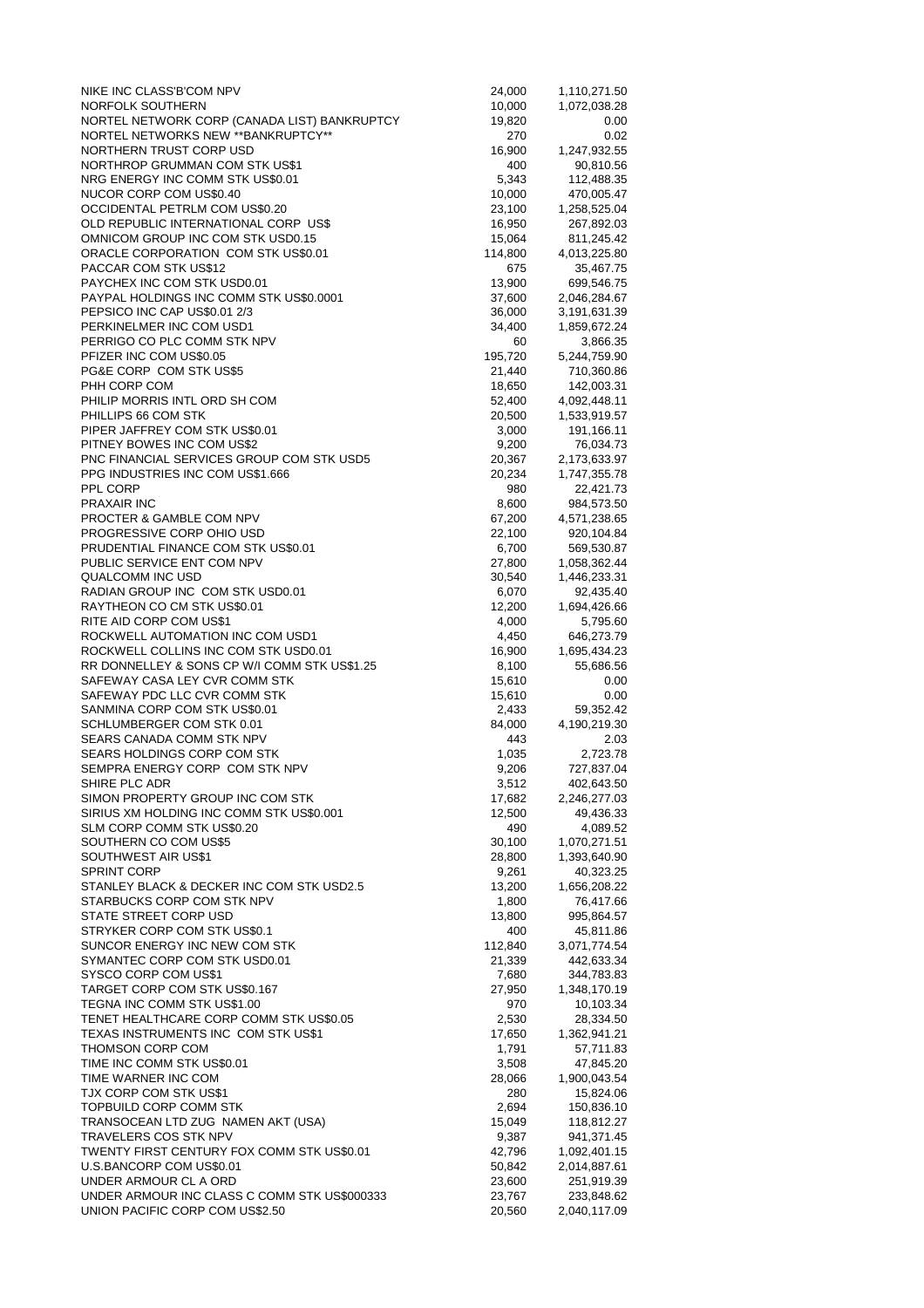| NIKE INC CLASS'B'COM NPV                                               | 24,000           | 1,110,271.50               |
|------------------------------------------------------------------------|------------------|----------------------------|
| NORFOLK SOUTHERN                                                       | 10,000           | 1,072,038.28               |
| NORTEL NETWORK CORP (CANADA LIST) BANKRUPTCY                           | 19,820           | 0.00                       |
| NORTEL NETWORKS NEW ** BANKRUPTCY**<br>NORTHERN TRUST CORP USD         | 270              | 0.02                       |
| NORTHROP GRUMMAN COM STK US\$1                                         | 16,900<br>400    | 1,247,932.55<br>90,810.56  |
| NRG ENERGY INC COMM STK US\$0.01                                       | 5,343            | 112,488.35                 |
| NUCOR CORP COM US\$0.40                                                | 10,000           | 470,005.47                 |
| OCCIDENTAL PETRLM COM US\$0.20                                         | 23,100           | 1,258,525.04               |
| OLD REPUBLIC INTERNATIONAL CORP US\$                                   | 16,950           | 267,892.03                 |
| OMNICOM GROUP INC COM STK USD0.15                                      | 15,064           | 811,245.42                 |
| ORACLE CORPORATION COM STK US\$0.01                                    | 114,800          | 4,013,225.80               |
| PACCAR COM STK US\$12<br>PAYCHEX INC COM STK USD0.01                   | 675              | 35,467.75                  |
| PAYPAL HOLDINGS INC COMM STK US\$0.0001                                | 13,900<br>37,600 | 699,546.75<br>2,046,284.67 |
| PEPSICO INC CAP US\$0.01 2/3                                           | 36,000           | 3,191,631.39               |
| PERKINELMER INC COM USD1                                               | 34,400           | 1,859,672.24               |
| PERRIGO CO PLC COMM STK NPV                                            | 60               | 3,866.35                   |
| PFIZER INC COM US\$0.05                                                | 195,720          | 5,244,759.90               |
| PG&E CORP COM STK US\$5                                                | 21,440           | 710,360.86                 |
| PHH CORP COM                                                           | 18,650           | 142,003.31                 |
| PHILIP MORRIS INTL ORD SH COM                                          | 52,400           | 4,092,448.11               |
| PHILLIPS 66 COM STK<br>PIPER JAFFREY COM STK US\$0.01                  | 20,500           | 1,533,919.57               |
| PITNEY BOWES INC COM US\$2                                             | 3,000<br>9,200   | 191,166.11<br>76,034.73    |
| PNC FINANCIAL SERVICES GROUP COM STK USD5                              | 20,367           | 2,173,633.97               |
| PPG INDUSTRIES INC COM US\$1.666                                       | 20,234           | 1,747,355.78               |
| PPL CORP                                                               | 980              | 22,421.73                  |
| <b>PRAXAIR INC</b>                                                     | 8,600            | 984,573.50                 |
| PROCTER & GAMBLE COM NPV                                               | 67,200           | 4,571,238.65               |
| PROGRESSIVE CORP OHIO USD                                              | 22,100           | 920,104.84                 |
| PRUDENTIAL FINANCE COM STK US\$0.01                                    | 6,700            | 569,530.87                 |
| PUBLIC SERVICE ENT COM NPV                                             | 27,800           | 1,058,362.44               |
| QUALCOMM INC USD                                                       | 30,540           | 1,446,233.31               |
| RADIAN GROUP INC COM STK USD0.01<br>RAYTHEON CO CM STK US\$0.01        | 6,070<br>12,200  | 92,435.40<br>1,694,426.66  |
| RITE AID CORP COM US\$1                                                | 4,000            | 5,795.60                   |
| ROCKWELL AUTOMATION INC COM USD1                                       | 4,450            | 646,273.79                 |
| ROCKWELL COLLINS INC COM STK USD0.01                                   | 16,900           | 1,695,434.23               |
| RR DONNELLEY & SONS CP W/I COMM STK US\$1.25                           | 8,100            | 55,686.56                  |
| SAFEWAY CASA LEY CVR COMM STK                                          | 15,610           | 0.00                       |
| SAFEWAY PDC LLC CVR COMM STK                                           | 15,610           | 0.00                       |
| SANMINA CORP COM STK US\$0.01                                          | 2,433            | 59,352.42                  |
| SCHLUMBERGER COM STK 0.01<br>SEARS CANADA COMM STK NPV                 | 84,000<br>443    | 4,190,219.30<br>2.03       |
| SEARS HOLDINGS CORP COM STK                                            | 1,035            | 2,723.78                   |
| SEMPRA ENERGY CORP COM STK NPV                                         | 9,206            | 727,837.04                 |
| SHIRE PLC ADR                                                          | 3,512            | 402,643.50                 |
| SIMON PROPERTY GROUP INC COM STK                                       | 17,682           | 2,246,277.03               |
| SIRIUS XM HOLDING INC COMM STK US\$0.001                               | 12,500           | 49,436.33                  |
| SLM CORP COMM STK US\$0.20                                             | 490              | 4,089.52                   |
| SOUTHERN CO COM US\$5                                                  | 30,100           | 1,070,271.51               |
| SOUTHWEST AIR US\$1<br><b>SPRINT CORP</b>                              | 28,800<br>9,261  | 1,393,640.90               |
| STANLEY BLACK & DECKER INC COM STK USD2.5                              | 13,200           | 40,323.25<br>1,656,208.22  |
| STARBUCKS CORP COM STK NPV                                             | 1,800            | 76,417.66                  |
| STATE STREET CORP USD                                                  | 13,800           | 995,864.57                 |
| STRYKER CORP COM STK US\$0.1                                           | 400              | 45,811.86                  |
| SUNCOR ENERGY INC NEW COM STK                                          | 112,840          | 3,071,774.54               |
| SYMANTEC CORP COM STK USD0.01                                          | 21,339           | 442,633.34                 |
| SYSCO CORP COM US\$1                                                   | 7,680            | 344,783.83                 |
| TARGET CORP COM STK US\$0.167                                          | 27,950           | 1,348,170.19               |
| TEGNA INC COMM STK US\$1.00<br>TENET HEALTHCARE CORP COMM STK US\$0.05 | 970<br>2,530     | 10,103.34<br>28,334.50     |
| TEXAS INSTRUMENTS INC COM STK US\$1                                    | 17,650           | 1,362,941.21               |
| THOMSON CORP COM                                                       | 1,791            | 57,711.83                  |
| TIME INC COMM STK US\$0.01                                             | 3,508            | 47,845.20                  |
| TIME WARNER INC COM                                                    | 28,066           | 1,900,043.54               |
| TJX CORP COM STK US\$1                                                 | 280              | 15,824.06                  |
| TOPBUILD CORP COMM STK                                                 | 2,694            | 150,836.10                 |
| TRANSOCEAN LTD ZUG NAMEN AKT (USA)                                     | 15,049           | 118,812.27                 |
| TRAVELERS COS STK NPV                                                  |                  |                            |
|                                                                        | 9,387            | 941,371.45                 |
| TWENTY FIRST CENTURY FOX COMM STK US\$0.01                             | 42,796           | 1,092,401.15               |
| U.S.BANCORP COM US\$0.01<br>UNDER ARMOUR CL A ORD                      | 50,842<br>23,600 | 2,014,887.61<br>251,919.39 |
| UNDER ARMOUR INC CLASS C COMM STK US\$000333                           | 23,767           | 233,848.62                 |